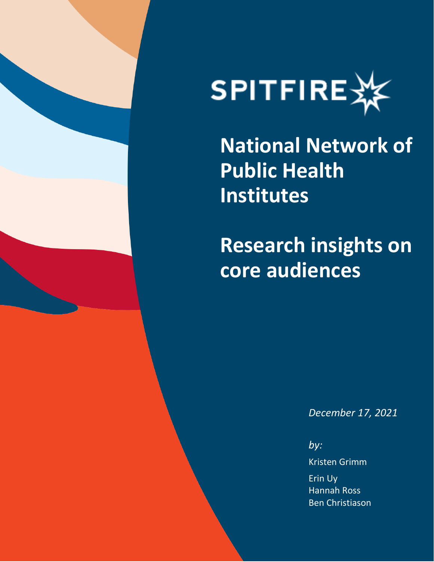



**National Network of Public Health Institutes**

**Research insights on core audiences**

*December 17, 2021*

*by:* Kristen Grimm Erin Uy Hannah Ross Ben Christiason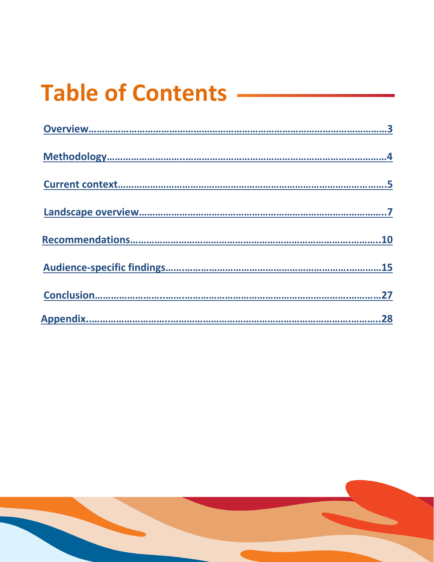# **Table of Contents**

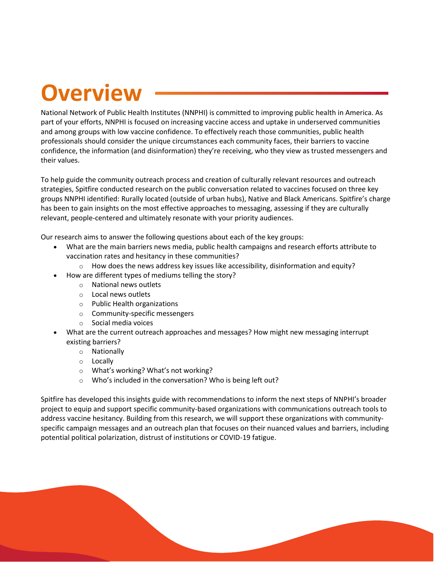## **Overview**

<span id="page-2-0"></span>National Network of Public Health Institutes (NNPHI) is committed to improving public health in America. As part of your efforts, NNPHI is focused on increasing vaccine access and uptake in underserved communities and among groups with low vaccine confidence. To effectively reach those communities, public health professionals should consider the unique circumstances each community faces, their barriers to vaccine confidence, the information (and disinformation) they're receiving, who they view as trusted messengers and their values.

To help guide the community outreach process and creation of culturally relevant resources and outreach strategies, Spitfire conducted research on the public conversation related to vaccines focused on three key groups NNPHI identified: Rurally located (outside of urban hubs), Native and Black Americans. Spitfire's charge has been to gain insights on the most effective approaches to messaging, assessing if they are culturally relevant, people-centered and ultimately resonate with your priority audiences.

Our research aims to answer the following questions about each of the key groups:

- What are the main barriers news media, public health campaigns and research efforts attribute to vaccination rates and hesitancy in these communities?
	- $\circ$  How does the news address key issues like accessibility, disinformation and equity?
- How are different types of mediums telling the story?
	- o National news outlets
	- o Local news outlets
	- o Public Health organizations
	- o Community-specific messengers
	- o Social media voices
- What are the current outreach approaches and messages? How might new messaging interrupt existing barriers?
	- o Nationally
	- o Locally
	- o What's working? What's not working?
	- o Who's included in the conversation? Who is being left out?

Spitfire has developed this insights guide with recommendations to inform the next steps of NNPHI's broader project to equip and support specific community-based organizations with communications outreach tools to address vaccine hesitancy. Building from this research, we will support these organizations with communityspecific campaign messages and an outreach plan that focuses on their nuanced values and barriers, including potential political polarization, distrust of institutions or COVID-19 fatigue.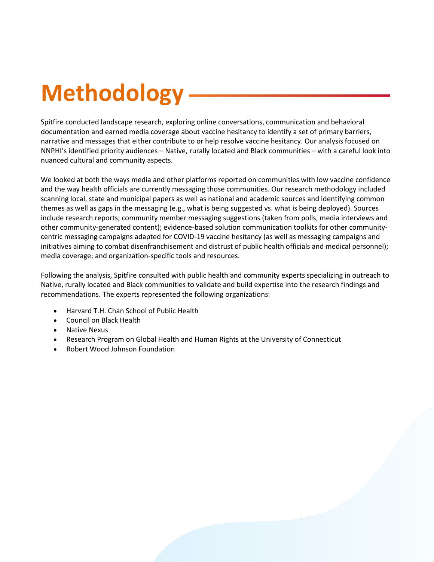# **Methodology**

<span id="page-3-0"></span>Spitfire conducted landscape research, exploring online conversations, communication and behavioral documentation and earned media coverage about vaccine hesitancy to identify a set of primary barriers, narrative and messages that either contribute to or help resolve vaccine hesitancy. Our analysis focused on NNPHI's identified priority audiences – Native, rurally located and Black communities – with a careful look into nuanced cultural and community aspects.

We looked at both the ways media and other platforms reported on communities with low vaccine confidence and the way health officials are currently messaging those communities. Our research methodology included scanning local, state and municipal papers as well as national and academic sources and identifying common themes as well as gaps in the messaging (e.g., what is being suggested vs. what is being deployed). Sources include research reports; community member messaging suggestions (taken from polls, media interviews and other community-generated content); evidence-based solution communication toolkits for other communitycentric messaging campaigns adapted for COVID-19 vaccine hesitancy (as well as messaging campaigns and initiatives aiming to combat disenfranchisement and distrust of public health officials and medical personnel); media coverage; and organization-specific tools and resources.

Following the analysis, Spitfire consulted with public health and community experts specializing in outreach to Native, rurally located and Black communities to validate and build expertise into the research findings and recommendations. The experts represented the following organizations:

- Harvard T.H. Chan School of Public Health
- Council on Black Health
- Native Nexus
- Research Program on Global Health and Human Rights at the University of Connecticut
- Robert Wood Johnson Foundation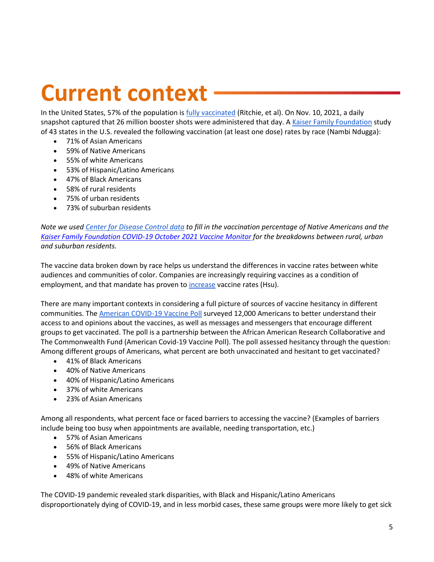# **Current context**

<span id="page-4-0"></span>In the United States, 57% of the population is *fully vaccinated* (Ritchie, et al). On Nov. 10, 2021, a daily snapshot captured that 26 million booster shots were administered that day. A [Kaiser Family Foundation](https://www.kff.org/coronavirus-covid-19/issue-brief/latest-data-on-covid-19-vaccinations-by-race-ethnicity/) study of 43 states in the U.S. revealed the following vaccination (at least one dose) rates by race (Nambi Ndugga):

- 71% of Asian Americans
- 59% of Native Americans
- 55% of white Americans
- 53% of Hispanic/Latino Americans
- 47% of Black Americans
- 58% of rural residents
- 75% of urban residents
- 73% of suburban residents

*Note we use[d Center for Disease Control data](https://covid.cdc.gov/covid-data-tracker/index.html#vaccination-demographics-trends) to fill in the vaccination percentage of Native Americans and the [Kaiser Family Foundation COVID-19 October 2021 Vaccine Monitor](https://www.kff.org/coronavirus-covid-19/poll-finding/kff-covid-19-vaccine-monitor-october-2021/) for the breakdowns between rural, urban and suburban residents.*

The vaccine data broken down by race helps us understand the differences in vaccine rates between white audiences and communities of color. Companies are increasingly requiring vaccines as a condition of employment, and that mandate has proven t[o increase](https://www.npr.org/2021/10/07/1043332198/employer-vaccine-mandates-success-workers-get-shots-to-keep-jobs) vaccine rates (Hsu).

There are many important contexts in considering a full picture of sources of vaccine hesitancy in different communities. The [American COVID-19 Vaccine Poll](https://covidvaccinepoll.com/app/aarc/covid-19-vaccine-messaging/#/) surveyed 12,000 Americans to better understand their access to and opinions about the vaccines, as well as messages and messengers that encourage different groups to get vaccinated. The poll is a partnership between the African American Research Collaborative and The Commonwealth Fund (American Covid-19 Vaccine Poll). The poll assessed hesitancy through the question: Among different groups of Americans, what percent are both unvaccinated and hesitant to get vaccinated?

- 41% of Black Americans
- 40% of Native Americans
- 40% of Hispanic/Latino Americans
- 37% of white Americans
- 23% of Asian Americans

Among all respondents, what percent face or faced barriers to accessing the vaccine? (Examples of barriers include being too busy when appointments are available, needing transportation, etc.)

- 57% of Asian Americans
- 56% of Black Americans
- 55% of Hispanic/Latino Americans
- 49% of Native Americans
- 48% of white Americans

The COVID-19 pandemic revealed stark disparities, with Black and Hispanic/Latino Americans disproportionately dying of COVID-19, and in less morbid cases, these same groups were more likely to get sick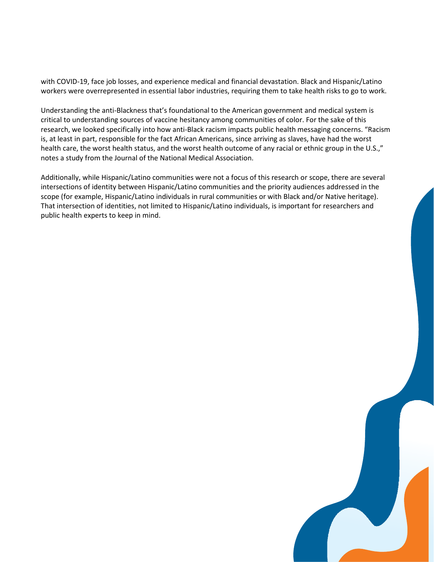with COVID-19, face job losses, and experience medical and financial devastation. Black and Hispanic/Latino workers were overrepresented in essential labor industries, requiring them to take health risks to go to work.

Understanding the anti-Blackness that's foundational to the American government and medical system is critical to understanding sources of vaccine hesitancy among communities of color. For the sake of this research, we looked specifically into how anti-Black racism impacts public health messaging concerns. "Racism is, at least in part, responsible for the fact African Americans, since arriving as slaves, have had the worst health care, the worst health status, and the worst health outcome of any racial or ethnic group in the U.S.," notes a study from the Journal of the National Medical Association.

Additionally, while Hispanic/Latino communities were not a focus of this research or scope, there are several intersections of identity between Hispanic/Latino communities and the priority audiences addressed in the scope (for example, Hispanic/Latino individuals in rural communities or with Black and/or Native heritage). That intersection of identities, not limited to Hispanic/Latino individuals, is important for researchers and public health experts to keep in mind.

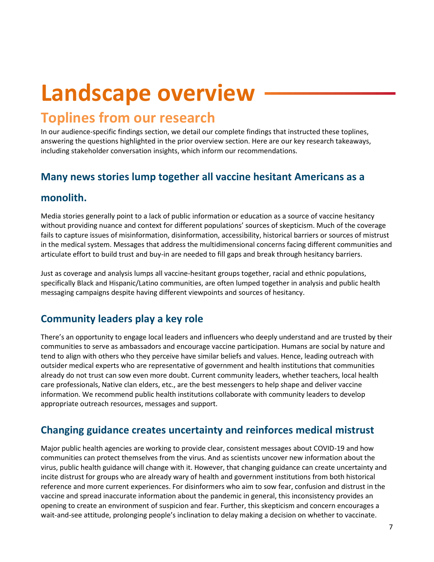## **Landscape overview**

## <span id="page-6-0"></span>**Toplines from our research**

In our audience-specific findings section, we detail our complete findings that instructed these toplines, answering the questions highlighted in the prior overview section. Here are our key research takeaways, including stakeholder conversation insights, which inform our recommendations.

## **Many news stories lump together all vaccine hesitant Americans as a**

## **monolith.**

Media stories generally point to a lack of public information or education as a source of vaccine hesitancy without providing nuance and context for different populations' sources of skepticism. Much of the coverage fails to capture issues of misinformation, disinformation, accessibility, historical barriers or sources of mistrust in the medical system. Messages that address the multidimensional concerns facing different communities and articulate effort to build trust and buy-in are needed to fill gaps and break through hesitancy barriers.

Just as coverage and analysis lumps all vaccine-hesitant groups together, racial and ethnic populations, specifically Black and Hispanic/Latino communities, are often lumped together in analysis and public health messaging campaigns despite having different viewpoints and sources of hesitancy.

## **Community leaders play a key role**

There's an opportunity to engage local leaders and influencers who deeply understand and are trusted by their communities to serve as ambassadors and encourage vaccine participation. Humans are social by nature and tend to align with others who they perceive have similar beliefs and values. Hence, leading outreach with outsider medical experts who are representative of government and health institutions that communities already do not trust can sow even more doubt. Current community leaders, whether teachers, local health care professionals, Native clan elders, etc., are the best messengers to help shape and deliver vaccine information. We recommend public health institutions collaborate with community leaders to develop appropriate outreach resources, messages and support.

## **Changing guidance creates uncertainty and reinforces medical mistrust**

Major public health agencies are working to provide clear, consistent messages about COVID-19 and how communities can protect themselves from the virus. And as scientists uncover new information about the virus, public health guidance will change with it. However, that changing guidance can create uncertainty and incite distrust for groups who are already wary of health and government institutions from both historical reference and more current experiences. For disinformers who aim to sow fear, confusion and distrust in the vaccine and spread inaccurate information about the pandemic in general, this inconsistency provides an opening to create an environment of suspicion and fear. Further, this skepticism and concern encourages a wait-and-see attitude, prolonging people's inclination to delay making a decision on whether to vaccinate.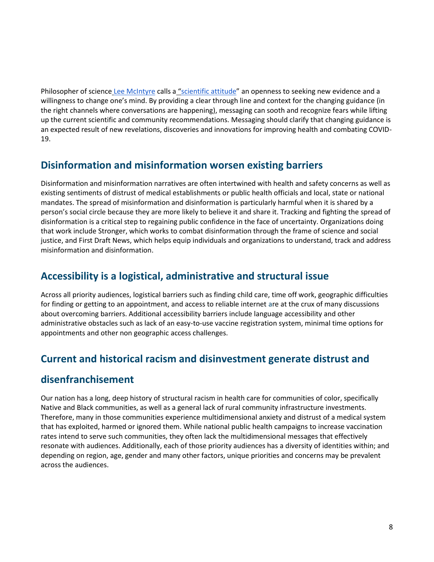Philosopher of science [Lee McIntyre](https://leemcintyrebooks.com/) calls a "[scientific attitude](https://mitpress.mit.edu/books/scientific-attitude)" an openness to seeking new evidence and a willingness to change one's mind. By providing a clear through line and context for the changing guidance (in the right channels where conversations are happening), messaging can sooth and recognize fears while lifting up the current scientific and community recommendations. Messaging should clarify that changing guidance is an expected result of new revelations, discoveries and innovations for improving health and combating COVID-19.

## **Disinformation and misinformation worsen existing barriers**

Disinformation and misinformation narratives are often intertwined with health and safety concerns as well as existing sentiments of distrust of medical establishments or public health officials and local, state or national mandates. The spread of misinformation and disinformation is particularly harmful when it is shared by a person's social circle because they are more likely to believe it and share it. Tracking and fighting the spread of disinformation is a critical step to regaining public confidence in the face of uncertainty. Organizations doing that work includ[e Stronger,](https://stronger.org/) which works to combat disinformation through the frame of science and social justice, and [First Draft News,](https://firstdraftnews.org/) which helps equip individuals and organizations to understand, track and address misinformation and disinformation.

## **Accessibility is a logistical, administrative and structural issue**

Across all priority audiences, logistical barriers such as finding child care, time off work, geographic difficulties for finding or getting to an appointment, and access to reliable internet are at the crux of many discussions about overcoming barriers. Additional accessibility barriers include language accessibility and other administrative obstacles such as lack of an easy-to-use vaccine registration system, minimal time options for appointments and other non geographic access challenges.

## **Current and historical racism and disinvestment generate distrust and**

## **disenfranchisement**

Our nation has a long, deep history of structural racism in health care for communities of color, specifically Native and Black communities, as well as a general lack of rural community infrastructure investments. Therefore, many in those communities experience multidimensional anxiety and distrust of a medical system that has exploited, harmed or ignored them. While national public health campaigns to increase vaccination rates intend to serve such communities, they often lack the multidimensional messages that effectively resonate with audiences. Additionally, each of those priority audiences has a diversity of identities within; and depending on region, age, gender and many other factors, unique priorities and concerns may be prevalent across the audiences.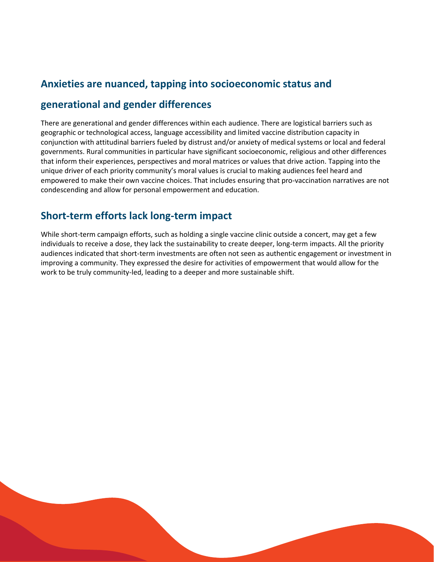## **Anxieties are nuanced, tapping into socioeconomic status and**

## **generational and gender differences**

There are generational and gender differences within each audience. There are logistical barriers such as geographic or technological access, language accessibility and limited vaccine distribution capacity in conjunction with attitudinal barriers fueled by distrust and/or anxiety of medical systems or local and federal governments. Rural communities in particular have significant socioeconomic, religious and other differences that inform their experiences, perspectives and moral matrices or values that drive action. Tapping into the unique driver of each priority community's moral values is crucial to making audiences feel heard and empowered to make their own vaccine choices. That includes ensuring that pro-vaccination narratives are not condescending and allow for personal empowerment and education.

## **Short-term efforts lack long-term impact**

While short-term campaign efforts, such as holding a single vaccine clinic outside a concert, may get a few individuals to receive a dose, they lack the sustainability to create deeper, long-term impacts. All the priority audiences indicated that short-term investments are often not seen as authentic engagement or investment in improving a community. They expressed the desire for activities of empowerment that would allow for the work to be truly community-led, leading to a deeper and more sustainable shift.

9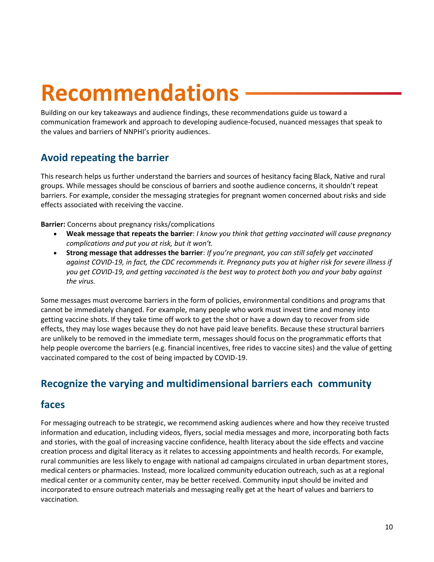## **Recommendations**

<span id="page-9-0"></span>Building on our key takeaways and audience findings, these recommendations guide us toward a communication framework and approach to developing audience-focused, nuanced messages that speak to the values and barriers of NNPHI's priority audiences.

## **Avoid repeating the barrier**

This research helps us further understand the barriers and sources of hesitancy facing Black, Native and rural groups. While messages should be conscious of barriers and soothe audience concerns, it shouldn't repeat barriers. For example, consider the messaging strategies for pregnant women concerned about risks and side effects associated with receiving the vaccine.

**Barrier:** Concerns about pregnancy risks/complications

- **Weak message that repeats the barrier**: *I know you think that getting vaccinated will cause pregnancy complications and put you at risk, but it won't.*
- **Strong message that addresses the barrier**: *If you're pregnant, you can still safely get vaccinated against COVID-19, in fact, the CDC recommends it. Pregnancy puts you at higher risk for severe illness if you get COVID-19, and getting vaccinated is the best way to protect both you and your baby against the virus.*

Some messages must overcome barriers in the form of policies, environmental conditions and programs that cannot be immediately changed. For example, many people who work must invest time and money into getting vaccine shots. If they take time off work to get the shot or have a down day to recover from side effects, they may lose wages because they do not have paid leave benefits. Because these structural barriers are unlikely to be removed in the immediate term, messages should focus on the programmatic efforts that help people overcome the barriers (e.g. financial incentives, free rides to vaccine sites) and the value of getting vaccinated compared to the cost of being impacted by COVID-19.

## **Recognize the varying and multidimensional barriers each community**

## **faces**

For messaging outreach to be strategic, we recommend asking audiences where and how they receive trusted information and education, including videos, flyers, social media messages and more, incorporating both facts and stories, with the goal of increasing vaccine confidence, health literacy about the side effects and vaccine creation process and digital literacy as it relates to accessing appointments and health records. For example, rural communities are less likely to engage with national ad campaigns circulated in urban department stores, medical centers or pharmacies. Instead, more localized community education outreach, such as at a regional medical center or a community center, may be better received. Community input should be invited and incorporated to ensure outreach materials and messaging really get at the heart of values and barriers to vaccination.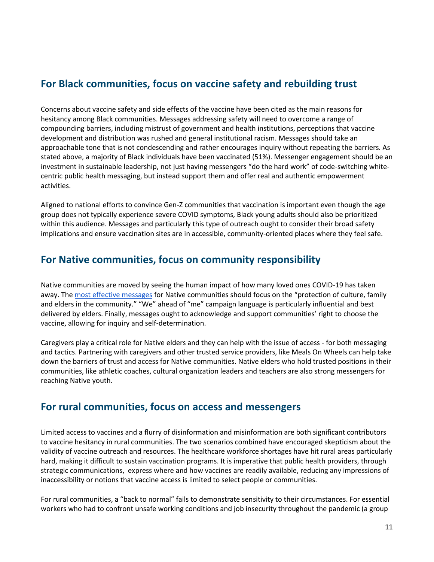## **For Black communities, focus on vaccine safety and rebuilding trust**

Concerns about vaccine safety and side effects of the vaccine have been cited as the main reasons for hesitancy among Black communities. Messages addressing safety will need to overcome a range of compounding barriers, including mistrust of government and health institutions, perceptions that vaccine development and distribution was rushed and general institutional racism. Messages should take an approachable tone that is not condescending and rather encourages inquiry without repeating the barriers. As stated above, a majority of Black individuals have been vaccinated (51%). Messenger engagement should be an investment in sustainable leadership, not just having messengers "do the hard work" of code-switching whitecentric public health messaging, but instead support them and offer real and authentic empowerment activities.

Aligned to national efforts to convince Gen-Z communities that vaccination is important even though the age group does not typically experience severe COVID symptoms, Black young adults should also be prioritized within this audience. Messages and particularly this type of outreach ought to consider their broad safety implications and ensure vaccination sites are in accessible, community-oriented places where they feel safe.

## **For Native communities, focus on community responsibility**

Native communities are moved by seeing the human impact of how many loved ones COVID-19 has taken away. The [most effective messages](https://www.healthaffairs.org/do/10.1377/hblog20210723.390196/full/) for Native communities should focus on the "protection of culture, family and elders in the community." "We" ahead of "me" campaign language is particularly influential and best delivered by elders. Finally, messages ought to acknowledge and support communities' right to choose the vaccine, allowing for inquiry and self-determination.

Caregivers play a critical role for Native elders and they can help with the issue of access - for both messaging and tactics. Partnering with caregivers and other trusted service providers, like Meals On Wheels can help take down the barriers of trust and access for Native communities. Native elders who hold trusted positions in their communities, like athletic coaches, cultural organization leaders and teachers are also strong messengers for reaching Native youth.

## **For rural communities, focus on access and messengers**

Limited access to vaccines and a flurry of disinformation and misinformation are both significant contributors to vaccine hesitancy in rural communities. The two scenarios combined have encouraged skepticism about the validity of vaccine outreach and resources. The healthcare workforce shortages have hit rural areas particularly hard, making it difficult to sustain vaccination programs. It is imperative that public health providers, through strategic communications, express where and how vaccines are readily available, reducing any impressions of inaccessibility or notions that vaccine access is limited to select people or communities.

For rural communities, a "back to normal" fails to demonstrate sensitivity to their circumstances. For essential workers who had to confront unsafe working conditions and job insecurity throughout the pandemic (a group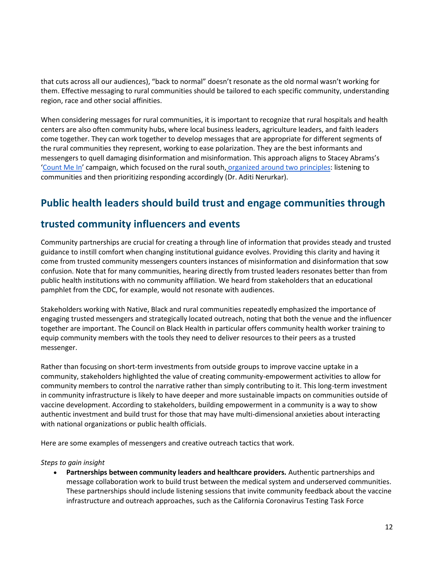that cuts across all our audiences), "back to normal" doesn't resonate as the old normal wasn't working for them. Effective messaging to rural communities should be tailored to each specific community, understanding region, race and other social affinities.

When considering messages for rural communities, it is important to recognize that rural hospitals and health centers are also often community hubs, where local business leaders, agriculture leaders, and faith leaders come together. They can work together to develop messages that are appropriate for different segments of the rural communities they represent, working to ease polarization. They are the best informants and messengers to quell damaging disinformation and misinformation. This approach aligns to Stacey Abrams's '[Count Me In](https://countmeinga.org/)' campaign, which focused on the rural south, [organized around two principles:](https://www.forbes.com/sites/aditinerurkar/2021/11/11/stacey-abrams-is-tackling-vaccine-hesitancy/?sh=473173a25a7a) listening to communities and then prioritizing responding accordingly (Dr. Aditi Nerurkar).

## **Public health leaders should build trust and engage communities through**

### **trusted community influencers and events**

Community partnerships are crucial for creating a through line of information that provides steady and trusted guidance to instill comfort when changing institutional guidance evolves. Providing this clarity and having it come from trusted community messengers counters instances of misinformation and disinformation that sow confusion. Note that for many communities, hearing directly from trusted leaders resonates better than from public health institutions with no community affiliation. We heard from stakeholders that an educational pamphlet from the CDC, for example, would not resonate with audiences.

Stakeholders working with Native, Black and rural communities repeatedly emphasized the importance of engaging trusted messengers and strategically located outreach, noting that both the venue and the influencer together are important. The Council on Black Health in particular offers community health worker training to equip community members with the tools they need to deliver resources to their peers as a trusted messenger.

Rather than focusing on short-term investments from outside groups to improve vaccine uptake in a community, stakeholders highlighted the value of creating community-empowerment activities to allow for community members to control the narrative rather than simply contributing to it. This long-term investment in community infrastructure is likely to have deeper and more sustainable impacts on communities outside of vaccine development. According to stakeholders, building empowerment in a community is a way to show authentic investment and build trust for those that may have multi-dimensional anxieties about interacting with national organizations or public health officials.

Here are some examples of messengers and creative outreach tactics that work.

#### *Steps to gain insight*

• **Partnerships between community leaders and healthcare providers.** Authentic partnerships and message collaboration work to build trust between the medical system and underserved communities. These partnerships should include listening sessions that invite community feedback about the vaccine infrastructure and outreach approaches, such as the California Coronavirus Testing Task Force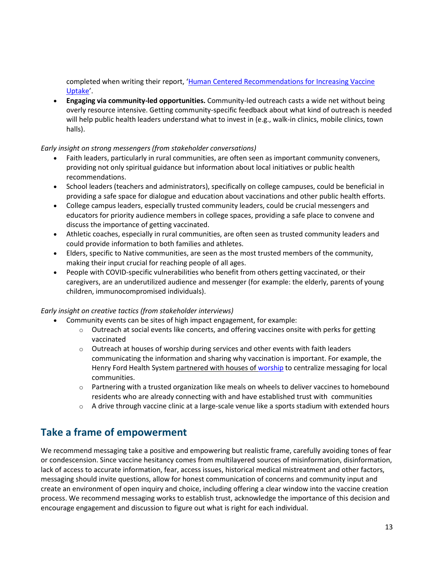completed when writing their report, 'Human Centered Recommendations for Increasing Vaccine [Uptake](https://www.aha.org/system/files/media/file/2021/06/Human-Centered-Recommendations-For-Increasing-Vaccine-Uptake.pdf)'.

• **Engaging via community-led opportunities.** Community-led outreach casts a wide net without being overly resource intensive. Getting community-specific feedback about what kind of outreach is needed will help public health leaders understand what to invest in (e.g., walk-in clinics, mobile clinics, town halls).

#### *Early insight on strong messengers (from stakeholder conversations)*

- Faith leaders, particularly in rural communities, are often seen as important community conveners, providing not only spiritual guidance but information about local initiatives or public health recommendations.
- School leaders (teachers and administrators), specifically on college campuses, could be beneficial in providing a safe space for dialogue and education about vaccinations and other public health efforts.
- College campus leaders, especially trusted community leaders, could be crucial messengers and educators for priority audience members in college spaces, providing a safe place to convene and discuss the importance of getting vaccinated.
- Athletic coaches, especially in rural communities, are often seen as trusted community leaders and could provide information to both families and athletes.
- Elders, specific to Native communities, are seen as the most trusted members of the community, making their input crucial for reaching people of all ages.
- People with COVID-specific vulnerabilities who benefit from others getting vaccinated, or their caregivers, are an underutilized audience and messenger (for example: the elderly, parents of young children, immunocompromised individuals).

#### *Early insight on creative tactics (from stakeholder interviews)*

- Community events can be sites of high impact engagement, for example:
	- $\circ$  Outreach at social events like concerts, and offering vaccines onsite with perks for getting vaccinated
	- o Outreach at houses of worship during services and other events with faith leaders communicating the information and sharing why vaccination is important. For example, the Henry Ford Health System [partnered with houses of worship](https://www.advisory.com/Daily-Briefing/2021/04/12/vaccine-distribution) to centralize messaging for local communities.
	- $\circ$  Partnering with a trusted organization like meals on wheels to deliver vaccines to homebound residents who are already connecting with and have established trust with communities
	- $\circ$  A drive through vaccine clinic at a large-scale venue like a sports stadium with extended hours

## **Take a frame of empowerment**

We recommend messaging take a positive and empowering but realistic frame, carefully avoiding tones of fear or condescension. Since vaccine hesitancy comes from multilayered sources of misinformation, disinformation, lack of access to accurate information, fear, access issues, historical medical mistreatment and other factors, messaging should invite questions, allow for honest communication of concerns and community input and create an environment of open inquiry and choice, including offering a clear window into the vaccine creation process. We recommend messaging works to establish trust, acknowledge the importance of this decision and encourage engagement and discussion to figure out what is right for each individual.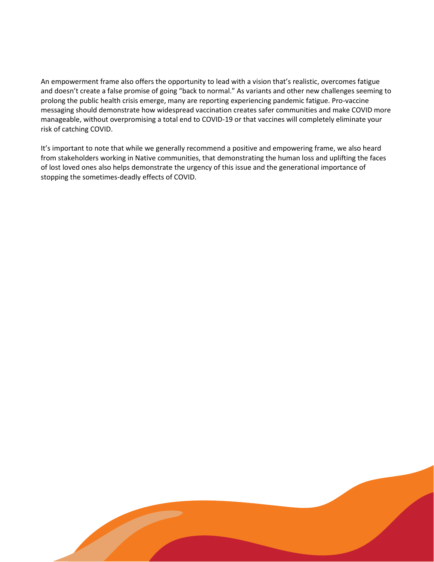An empowerment frame also offers the opportunity to lead with a vision that's realistic, overcomes fatigue and doesn't create a false promise of going "back to normal." As variants and other new challenges seeming to prolong the public health crisis emerge, many are reporting experiencing pandemic fatigue. Pro-vaccine messaging should demonstrate how widespread vaccination creates safer communities and make COVID more manageable, without overpromising a total end to COVID-19 or that vaccines will completely eliminate your risk of catching COVID.

It's important to note that while we generally recommend a positive and empowering frame, we also heard from stakeholders working in Native communities, that demonstrating the human loss and uplifting the faces of lost loved ones also helps demonstrate the urgency of this issue and the generational importance of stopping the sometimes-deadly effects of COVID.

14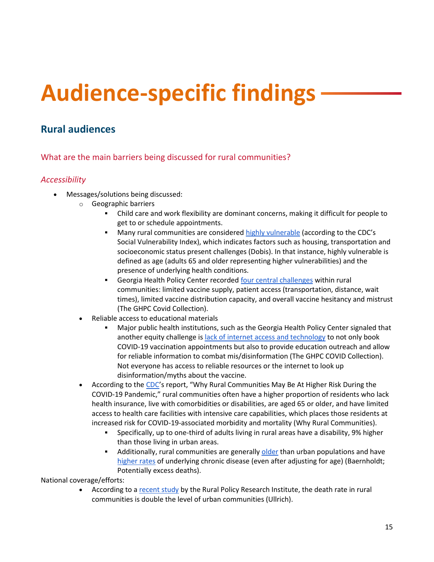# **Audience-specific findings**

## <span id="page-14-0"></span>**Rural audiences**

What are the main barriers being discussed for rural communities?

#### *Accessibility*

- Messages/solutions being discussed:
	- o Geographic barriers
		- Child care and work flexibility are dominant concerns, making it difficult for people to get to or schedule appointments.
		- Many rural communities are considered [highly vulnerable](https://www.ers.usda.gov/amber-waves/2021/february/rural-residents-appear-to-be-more-vulnerable-to-serious-infection-or-death-from-coronavirus-covid-19/) (according to the CDC's Social Vulnerability Index), which indicates factors such as housing, transportation and socioeconomic status present challenges (Dobis). In that instance, highly vulnerable is defined as age (adults 65 and older representing higher vulnerabilities) and the presence of underlying health conditions.
		- Georgia Health Policy Center recorde[d four central challenges](https://ghpc.gsu.edu/download/covid-19-vaccine-rollout-in-rural-communities-challenges-innovations-and-unmet-needs/?ind=1615902055387&filename=COVID%20CHSD%20Vaccine%20Brief_updated.pdf&wpdmdl=4755606&refresh=6197fe9e88bd71637351070) within rural communities: limited vaccine supply, patient access (transportation, distance, wait times), limited vaccine distribution capacity, and overall vaccine hesitancy and mistrust (The GHPC Covid Collection).
	- Reliable access to educational materials
		- Major public health institutions, such as the Georgia Health Policy Center signaled that another equity challenge is [lack of internet access and technology](https://ghpc.gsu.edu/download/covid-19-vaccine-rollout-in-rural-communities-challenges-innovations-and-unmet-needs/?ind=1615902055387&filename=COVID%20CHSD%20Vaccine%20Brief_updated.pdf&wpdmdl=4755606&refresh=6197fe9e88bd71637351070) to not only book COVID-19 vaccination appointments but also to provide education outreach and allow for reliable information to combat mis/disinformation (The GHPC COVID Collection). Not everyone has access to reliable resources or the internet to look up disinformation/myths about the vaccine.
	- According to the [CDC](https://www.cdc.gov/coronavirus/2019-ncov/need-extra-precautions/other-at-risk-populations/rural-communities.html#why-higher-risk)'s report, "Why Rural Communities May Be At Higher Risk During the COVID-19 Pandemic," rural communities often have a higher proportion of residents who lack health insurance, live with comorbidities or disabilities, are aged 65 or older, and have limited access to health care facilities with intensive care capabilities, which places those residents at increased risk for COVID-19-associated morbidity and mortality (Why Rural Communities).
		- Specifically, up to one-third of adults living in rural areas have a disability, 9% higher than those living in urban areas.
		- **EXECT** Additionally, rural communities are generally [older](https://www.ncbi.nlm.nih.gov/pmc/articles/PMC3615459/) than urban populations and have [higher rates](https://www.cdc.gov/mmwr/volumes/68/ss/ss6810a1.htm?s_cid=ss6810a1_e&deliveryName=USCDC_921-DM12720) of underlying chronic disease (even after adjusting for age) (Baernholdt; Potentially excess deaths).

National coverage/efforts:

• According to [a recent study](https://rupri.public-health.uiowa.edu/publications/policybriefs/2020/COVID%20Longitudinal%20Data.pdf) by the Rural Policy Research Institute, the death rate in rural communities is double the level of urban communities (Ullrich).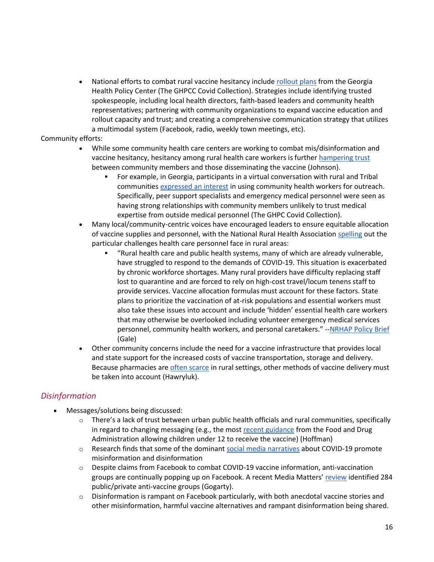National efforts to combat rural vaccine hesitancy include [rollout plans](https://ghpc.gsu.edu/download/covid-19-vaccine-rollout-in-rural-communities-challenges-innovations-and-unmet-needs/?ind=1615902055387&filename=COVID%20CHSD%20Vaccine%20Brief_updated.pdf&wpdmdl=4755606&refresh=6197fe9e88bd71637351070) from the Georgia Health Policy Center (The GHPCC Covid Collection). Strategies include identifying trusted spokespeople, including local health directors, faith-based leaders and community health representatives; partnering with community organizations to expand vaccine education and rollout capacity and trust; and creating a comprehensive communication strategy that utilizes a multimodal system (Facebook, radio, weekly town meetings, etc).

#### Community efforts:

- While some community health care centers are working to combat mis/disinformation and vaccine hesitancy, hesitancy among rural health care workers is further [hampering trust](https://www.usnews.com/news/health-news/articles/2021-11-12/biden-vaccine-mandate-sparks-rural-health-care-concerns) between community members and those disseminating the vaccine (Johnson).
	- **•** For example, in Georgia, participants in a virtual conversation with rural and Tribal communities [expressed an interest](https://ghpc.gsu.edu/download/covid-19-vaccine-rollout-in-rural-communities-challenges-innovations-and-unmet-needs/?ind=1615902055387&filename=COVID%20CHSD%20Vaccine%20Brief_updated.pdf&wpdmdl=4755606&refresh=60d0b4516e1601624290385) in using community health workers for outreach. Specifically, peer support specialists and emergency medical personnel were seen as having strong relationships with community members unlikely to trust medical expertise from outside medical personnel (The GHPC Covid Collection).
- Many local/community-centric voices have encouraged leaders to ensure equitable allocation of vaccine supplies and personnel, with the National Rural Health Association [spelling](https://www.ruralhealth.us/NRHA/media/Emerge_NRHA/GA/2020-NRHA-Policy-Document-Ensuring-an-Equitable-Distribution-of-COVID-19-Vaccines-in-Rural-Communities.pdf) out the particular challenges health care personnel face in rural areas:
	- "Rural health care and public health systems, many of which are already vulnerable, have struggled to respond to the demands of COVID-19. This situation is exacerbated by chronic workforce shortages. Many rural providers have difficulty replacing staff lost to quarantine and are forced to rely on high-cost travel/locum tenens staff to provide services. Vaccine allocation formulas must account for these factors. State plans to prioritize the vaccination of at-risk populations and essential workers must also take these issues into account and include 'hidden' essential health care workers that may otherwise be overlooked including volunteer emergency medical services personnel, community health workers, and personal caretakers." -[-NRHAP Policy Brief](https://www.ruralhealth.us/NRHA/media/Emerge_NRHA/GA/2020-NRHA-Policy-Document-Ensuring-an-Equitable-Distribution-of-COVID-19-Vaccines-in-Rural-Communities.pdf) (Gale)
- Other community concerns include the need for a vaccine infrastructure that provides local and state support for the increased costs of vaccine transportation, storage and delivery. Because pharmacies are [often scarce](https://khn.org/news/article/rural-america-pharmacy-deserts-hurting-for-covid-vaccine-access/) in rural settings, other methods of vaccine delivery must be taken into account (Hawryluk).

#### *Disinformation*

- Messages/solutions being discussed:
	- $\circ$  There's a lack of trust between urban public health officials and rural communities, specifically in regard to changing messaging (e.g., the most [recent guidance](https://www.nytimes.com/2021/10/30/health/covid-vaccine-kids-parents.html) from the Food and Drug Administration allowing children under 12 to receive the vaccine) (Hoffman)
	- o Research finds that some of the dominant [social media narratives](https://firstdraftnews.org/long-form-article/under-the-surface-covid-19-vaccine-narratives-misinformation-and-data-deficits-on-social-media/) about COVID-19 promote misinformation and disinformation
	- o Despite claims from Facebook to combat COVID-19 vaccine information, anti-vaccination groups are continually popping up on Facebook. A recent Media Matters' [review](https://www.mediamatters.org/facebook/despite-facebooks-covid-19-promises-anti-vaccine-groups-are-thriving) identified 284 public/private anti-vaccine groups (Gogarty).
	- $\circ$  Disinformation is rampant on Facebook particularly, with both anecdotal vaccine stories and other misinformation, harmful vaccine alternatives and rampant disinformation being shared.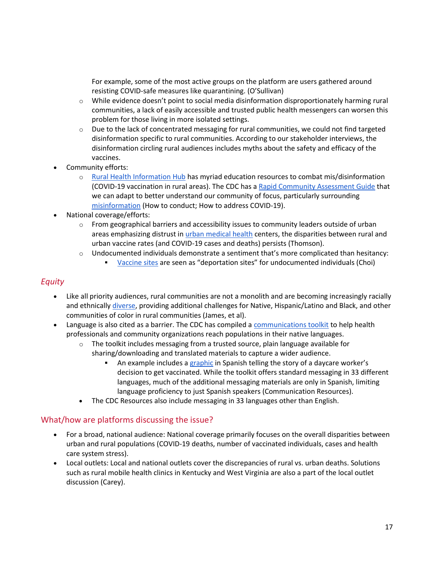For example, some of the most active groups on the platform are users gathered around resisting COVID-safe measures like quarantining. (O'Sullivan)

- $\circ$  While evidence doesn't point to social media disinformation disproportionately harming rural communities, a lack of easily accessible and trusted public health messengers can worsen this problem for those living in more isolated settings.
- $\circ$  Due to the lack of concentrated messaging for rural communities, we could not find targeted disinformation specific to rural communities. According to our stakeholder interviews, the disinformation circling rural audiences includes myths about the safety and efficacy of the vaccines.
- Community efforts:
	- o [Rural Health Information Hub](https://www.ruralhealthinfo.org/topics/covid-19/vaccination) has myriad education resources to combat mis/disinformation (COVID-19 vaccination in rural areas). The CDC has a [Rapid Community Assessment Guide](https://www.cdc.gov/vaccines/covid-19/vaccinate-with-confidence/rca-guide/) that we can adapt to better understand our community of focus, particularly surrounding [misinformation](https://www.cdc.gov/vaccines/covid-19/health-departments/addressing-vaccine-misinformation.html) (How to conduct; How to address COVID-19).
- National coverage/efforts:
	- $\circ$  From geographical barriers and accessibility issues to community leaders outside of urban areas emphasizing distrust i[n urban medical health](https://www.nbcnews.com/think/opinion/covid-vaccine-mistrust-fueling-spike-rural-deaths-here-s-what-ncna1280746) centers, the disparities between rural and urban vaccine rates (and COVID-19 cases and deaths) persists (Thomson).
	- $\circ$  Undocumented individuals demonstrate a sentiment that's more complicated than hesitancy:
		- [Vaccine sites](https://abcnews.go.com/Health/us-blacks-latinos-remain-covid-19-vaccine-deliberate/story?id=79830353) are seen as "deportation sites" for undocumented individuals (Choi)

#### *Equity*

- Like all priority audiences, rural communities are not a monolith and are becoming increasingly racially and ethnicall[y diverse,](https://www.cdc.gov/mmwr/volumes/66/ss/ss6623a1.htm) providing additional challenges for Native, Hispanic/Latino and Black, and other communities of color in rural communities (James, et al).
- Language is also cited as a barrier. The CDC has compiled a [communications toolkit](https://www.cdc.gov/immigrantrefugeehealth/resources/communication-toolkit.html) to help health professionals and community organizations reach populations in their native languages.
	- $\circ$  The toolkit includes messaging from a trusted source, plain language available for sharing/downloading and translated materials to capture a wider audience.
		- An example includes a [graphic](https://www.cdc.gov/coronavirus/2019-ncov/downloads/vaccines/fotonovela.pdf) in Spanish telling the story of a daycare worker's decision to get vaccinated. While the toolkit offers standard messaging in 33 different languages, much of the additional messaging materials are only in Spanish, limiting language proficiency to just Spanish speakers (Communication Resources).
	- The CDC Resources also include messaging in 33 languages other than English.

#### What/how are platforms discussing the issue?

- For a broad, national audience: National coverage primarily focuses on the overall disparities between urban and rural populations (COVID-19 deaths, number of vaccinated individuals, cases and health care system stress).
- Local outlets: Local and national outlets cover the discrepancies of rural vs. urban deaths. Solutions such as rural mobile health clinics in Kentucky and West Virginia are also a part of the local outlet discussion (Carey).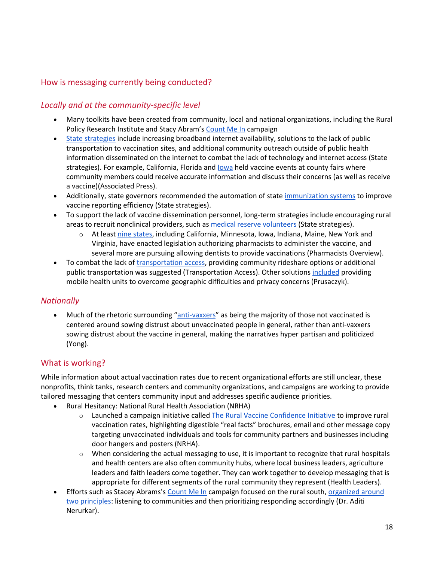#### How is messaging currently being conducted?

#### *Locally and at the community-specific level*

- Many toolkits have been created from community, local and national organizations, including the Rural Policy Research Institute and Stacy Abram's [Count Me In](https://countmeinga.org/) campaign
- [State strategies](https://www.nga.org/center/publications/state-strategies-to-increase-covid-19-vaccine-uptake-in-rural-communities/) include increasing broadband internet availability, solutions to the lack of public transportation to vaccination sites, and additional community outreach outside of public health information disseminated on the internet to combat the lack of technology and internet access (State strategies). For example, California, Florida and lowa held vaccine events at county fairs where community members could receive accurate information and discuss their concerns (as well as receive a vaccine)(Associated Press).
- Additionally, state governors recommended the automation of stat[e immunization systems](https://www.nga.org/center/publications/state-strategies-to-increase-covid-19-vaccine-uptake-in-rural-communities/) to improve vaccine reporting efficiency (State strategies).
- To support the lack of vaccine dissemination personnel, long-term strategies include encouraging rural areas to recruit nonclinical providers, such a[s medical reserve volunteers](https://www.nga.org/center/publications/state-strategies-to-increase-covid-19-vaccine-uptake-in-rural-communities/) (State strategies).
	- At least [nine states,](https://scopeofpracticepolicy.org/practitioners/pharmacists/sop/administration-of-covid-19-vaccine/) including California, Minnesota, Iowa, Indiana, Maine, New York and Virginia, have enacted legislation authorizing pharmacists to administer the vaccine, and several more are pursuing allowing dentists to provide vaccinations (Pharmacists Overview).
- To combat the lack o[f transportation access,](https://www.resourcesforintegratedcare.com/COVID-19_Vaccination_Blog/Post2/Transportation_Access) providing community rideshare options or additional public transportation was suggested (Transportation Access). Other solution[s included](https://www.ncbi.nlm.nih.gov/pmc/articles/PMC8083584/) providing mobile health units to overcome geographic difficulties and privacy concerns (Prusaczyk).

#### *Nationally*

• Much of the rhetoric surrounding "[anti-vaxxers](https://www.theatlantic.com/health/archive/2021/07/unvaccinated-different-anti-vax/619523/)" as being the majority of those not vaccinated is centered around sowing distrust about unvaccinated people in general, rather than anti-vaxxers sowing distrust about the vaccine in general, making the narratives hyper partisan and politicized (Yong).

#### What is working?

While information about actual vaccination rates due to recent organizational efforts are still unclear, these nonprofits, think tanks, research centers and community organizations, and campaigns are working to provide tailored messaging that centers community input and addresses specific audience priorities.

- Rural Hesitancy: National Rural Health Association (NRHA)
	- $\circ$  Launched a campaign initiative called [The Rural Vaccine Confidence Initiative](https://www.ruralhealth.us/programs/covid-19-pandemic/covid-19-vaccine-confidence) to improve rural vaccination rates, highlighting digestible "real facts" brochures, email and other message copy targeting unvaccinated individuals and tools for community partners and businesses including door hangers and posters (NRHA).
	- $\circ$  When considering the actual messaging to use, it is important to recognize that rural hospitals and health centers are also often community hubs, where local business leaders, agriculture leaders and faith leaders come together. They can work together to develop messaging that is appropriate for different segments of the rural community they represent (Health Leaders).
- Efforts such as Stacey Abrams's [Count Me In](https://countmeinga.org/) campaign focused on the rural south, organized around [two principles:](https://www.forbes.com/sites/aditinerurkar/2021/11/11/stacey-abrams-is-tackling-vaccine-hesitancy/?sh=473173a25a7a) listening to communities and then prioritizing responding accordingly (Dr. Aditi Nerurkar).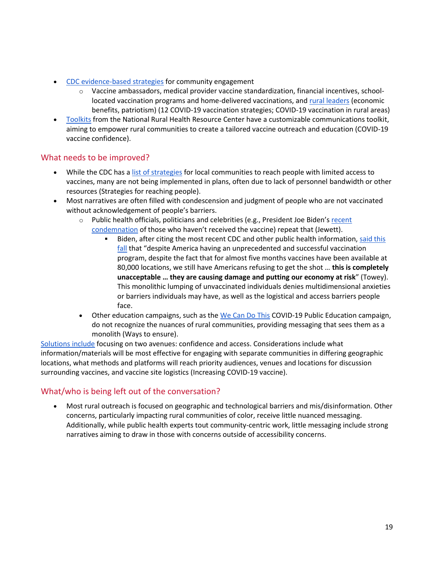- [CDC evidence-based strategies](https://www.cdc.gov/vaccines/covid-19/vaccinate-with-confidence/community.html) for community engagement
	- $\circ$  Vaccine ambassadors, medical provider vaccine standardization, financial incentives, schoollocated vaccination programs and home-delivered vaccinations, an[d rural leaders](https://www.ruralhealth.us/NRHA/media/Emerge_NRHA/Programs/06-08-21-NRHA-COVID-19-Vaccine-Talking-Points.pdf) (economic benefits, patriotism) (12 COVID-19 vaccination strategies; COVID-19 vaccination in rural areas)
- [Toolkits](https://www.ruralcenter.org/drchsd/communications-toolkit/vaccine-hesitancy) from the National Rural Health Resource Center have a customizable communications toolkit, aiming to empower rural communities to create a tailored vaccine outreach and education (COVID-19 vaccine confidence).

#### What needs to be improved?

- While the CDC has a [list of strategies](https://www.cdc.gov/vaccines/covid-19/vaccinate-with-confidence/limited-access.html) for local communities to reach people with limited access to vaccines, many are not being implemented in plans, often due to lack of personnel bandwidth or other resources (Strategies for reaching people).
- Most narratives are often filled with condescension and judgment of people who are not vaccinated without acknowledgement of people's barriers.
	- o Public health officials, politicians and celebrities (e.g., President Joe Biden's recent [condemnation](https://topclassactions.com/lawsuit-settlements/vaccines/1031670-president-bidens-covid-19-vaccination-requirement-may-cover-100-million-american-workers/) of those who haven't received the vaccine) repeat that (Jewett).
		- Biden, after citing the most recent CDC and other public health information, said this [fall](https://www.cnbc.com/2021/09/24/biden-says-unvaccinated-americans-are-costing-all-of-us-as-he-presses-covid-vaccine-mandates.html) that "despite America having an unprecedented and successful vaccination program, despite the fact that for almost five months vaccines have been available at 80,000 locations, we still have Americans refusing to get the shot … **this is completely unacceptable … they are causing damage and putting our economy at risk**" (Towey). This monolithic lumping of unvaccinated individuals denies multidimensional anxieties or barriers individuals may have, as well as the logistical and access barriers people face.
	- Other education campaigns, such as th[e We Can Do This](https://wecandothis.hhs.gov/rural-ways-to-ensure-community-gets-covid-19-vaccines) COVID-19 Public Education campaign, do not recognize the nuances of rural communities, providing messaging that sees them as a monolith (Ways to ensure).

[Solutions include](https://www.cdc.gov/vaccines/covid-19/downloads/guide-community-partners.pdf) focusing on two avenues: confidence and access. Considerations include what information/materials will be most effective for engaging with separate communities in differing geographic locations, what methods and platforms will reach priority audiences, venues and locations for discussion surrounding vaccines, and vaccine site logistics (Increasing COVID-19 vaccine).

#### What/who is being left out of the conversation?

• Most rural outreach is focused on geographic and technological barriers and mis/disinformation. Other concerns, particularly impacting rural communities of color, receive little nuanced messaging. Additionally, while public health experts tout community-centric work, little messaging include strong narratives aiming to draw in those with concerns outside of accessibility concerns.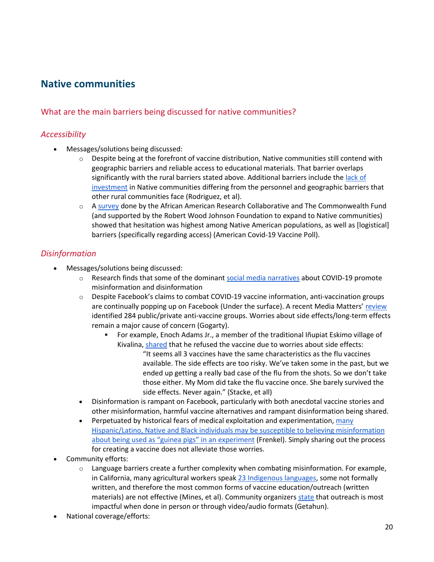## **Native communities**

#### What are the main barriers being discussed for native communities?

#### *Accessibility*

- Messages/solutions being discussed:
	- $\circ$  Despite being at the forefront of vaccine distribution, Native communities still contend with geographic barriers and reliable access to educational materials. That barrier overlaps significantly with the rural barriers stated above. Additional barriers include th[e lack of](https://www.ncbi.nlm.nih.gov/pmc/articles/PMC7249493/)  [investment](https://www.ncbi.nlm.nih.gov/pmc/articles/PMC7249493/) in Native communities differing from the personnel and geographic barriers that other rural communities face (Rodriguez, et al).
	- o [A survey](https://covidvaccinepoll.com/app/aarc/covid-19-vaccine-messaging/#/) done by the African American Research Collaborative and The Commonwealth Fund (and supported by the Robert Wood Johnson Foundation to expand to Native communities) showed that hesitation was highest among Native American populations, as well as [logistical] barriers (specifically regarding access) (American Covid-19 Vaccine Poll).

#### *Disinformation*

- Messages/solutions being discussed:
	- o Research finds that some of the dominant [social media narratives](https://firstdraftnews.org/long-form-article/under-the-surface-covid-19-vaccine-narratives-misinformation-and-data-deficits-on-social-media/) about COVID-19 promote misinformation and disinformation
	- o Despite Facebook's claims to combat COVID-19 vaccine information, anti-vaccination groups are continually popping up on Facebook (Under the surface). A recent Media Matters' [review](https://www.mediamatters.org/facebook/despite-facebooks-covid-19-promises-anti-vaccine-groups-are-thriving) identified 284 public/private anti-vaccine groups. Worries about side effects/long-term effects remain a major cause of concern (Gogarty).
		- For example, Enoch Adams Jr., a member of the traditional Iñupiat Eskimo village of Kivalina[, shared](https://www.nationalgeographic.com/culture/article/covid19-and-indigenous-communities) that he refused the vaccine due to worries about side effects: "It seems all 3 vaccines have the same characteristics as the flu vaccines available. The side effects are too risky. We've taken some in the past, but we ended up getting a really bad case of the flu from the shots. So we don't take those either. My Mom did take the flu vaccine once. She barely survived the side effects. Never again." (Stacke, et all)
	- Disinformation is rampant on Facebook, particularly with both anecdotal vaccine stories and other misinformation, harmful vaccine alternatives and rampant disinformation being shared.
	- Perpetuated by historical fears of medical exploitation and experimentation, many [Hispanic/Latino, Native and Black individuals may be susceptible to believing misinformation](https://www.nytimes.com/2021/03/10/technology/vaccine-misinformation.html)  [about being used as "guinea pigs" in an](https://www.nytimes.com/2021/03/10/technology/vaccine-misinformation.html) experiment (Frenkel). Simply sharing out the process for creating a vaccine does not alleviate those worries.
- Community efforts:
	- $\circ$  Language barriers create a further complexity when combating misinformation. For example, in California, many agricultural workers speak [23 Indigenous languages,](http://www.indigenousfarmworkers.org/IFS%20Full%20Report%20_Jan2010.pdf) some not formally written, and therefore the most common forms of vaccine education/outreach (written materials) are not effective (Mines, et al). Community organizer[s state](https://calmatters.org/health/coronavirus/2021/11/covid-indigenous-language-barriers/) that outreach is most impactful when done in person or through video/audio formats (Getahun).
- National coverage/efforts: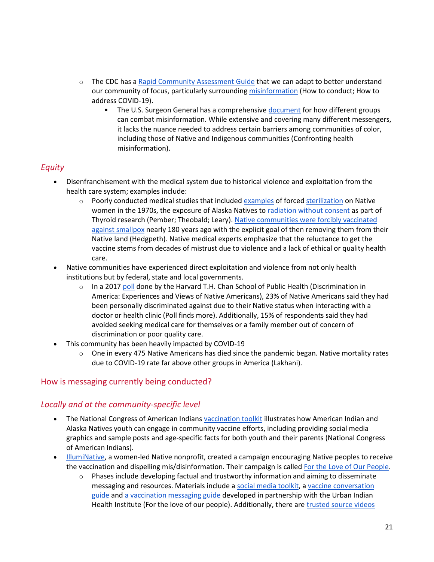- o The CDC has a [Rapid Community Assessment Guide](https://www.cdc.gov/vaccines/covid-19/vaccinate-with-confidence/rca-guide/) that we can adapt to better understand our community of focus, particularly surroundin[g misinformation](https://www.cdc.gov/vaccines/covid-19/health-departments/addressing-vaccine-misinformation.html) (How to conduct; How to address COVID-19).
	- The U.S. Surgeon General has a comprehensiv[e document](https://www.hhs.gov/sites/default/files/surgeon-general-misinformation-advisory.pdf) for how different groups can combat misinformation. While extensive and covering many different messengers, it lacks the nuance needed to address certain barriers among communities of color, including those of Native and Indigenous communities (Confronting health misinformation).

#### *Equity*

- Disenfranchisement with the medical system due to historical violence and exploitation from the health care system; examples include:
	- $\circ$  Poorly conducted medical studies that included  $\frac{examples}{1}$  of forced [sterilization](https://time.com/5737080/native-american-sterilization-history/) on Native women in the 1970s, the exposure of Alaska Natives t[o radiation without consent](https://www.nytimes.com/1996/01/31/us/subjects-in-radiation-experiment-were-not-informed-panel-says.html) as part of Thyroid research (Pember; Theobald; Leary). [Native communities were forcibly vaccinated](https://www.washingtonpost.com/history/2021/03/28/native-americans-vaccine-smallpox-covid/)  [against smallpox](https://www.washingtonpost.com/history/2021/03/28/native-americans-vaccine-smallpox-covid/) nearly 180 years ago with the explicit goal of then removing them from their Native land (Hedgpeth). Native medical experts emphasize that the reluctance to get the vaccine stems from decades of mistrust due to violence and a lack of ethical or quality health care.
- Native communities have experienced direct exploitation and violence from not only health institutions but by federal, state and local governments.
	- $\circ$  In a 2017 [poll](https://www.hsph.harvard.edu/news/press-releases/poll-native-americans-discrimination/) done by the Harvard T.H. Chan School of Public Health (Discrimination in America: Experiences and Views of Native Americans), 23% of Native Americans said they had been personally discriminated against due to their Native status when interacting with a doctor or health clinic (Poll finds more). Additionally, 15% of respondents said they had avoided seeking medical care for themselves or a family member out of concern of discrimination or poor quality care.
- This community has been heavily impacted by COVID-19
	- $\circ$  One in every 475 Native Americans has died since the pandemic began. Native mortality rates due to COVID-19 rate far above other groups in America (Lakhani).

#### How is messaging currently being conducted?

#### *Locally and at the community-specific level*

- The National Congress of American Indian[s vaccination toolkit](https://www.ncai.org/vaccination.pdf) illustrates how American Indian and Alaska Natives youth can engage in community vaccine efforts, including providing social media graphics and sample posts and age-specific facts for both youth and their parents (National Congress of American Indians).
- [IllumiNative,](https://illuminatives.org/) a women-led Native nonprofit, created a campaign encouraging Native peoples to receive the vaccination and dispelling mis/disinformation. Their campaign is calle[d For the Love of Our People.](https://forourpeople.uihi.org/)
	- $\circ$  Phases include developing factual and trustworthy information and aiming to disseminate messaging and resources. Materials include [a social media toolkit,](https://forourpeople.uihi.org/wp-content/uploads/For-the-Love-of-Our-People-Social-Media-Toolkit.pdf) [a vaccine conversation](https://forourpeople.uihi.org/wp-content/uploads/Conversation-Guide.pdf)  [guide](https://forourpeople.uihi.org/wp-content/uploads/Conversation-Guide.pdf) and [a vaccination messaging guide](https://www.teenvogue.com/story/how-this-indigenous-nonprofit-aims-to-reach-vaccine-hesitant-native-communities) developed in partnership with the Urban Indian Health Institute (For the love of our people). Additionally, there ar[e trusted source videos](https://forourpeople.uihi.org/tools/)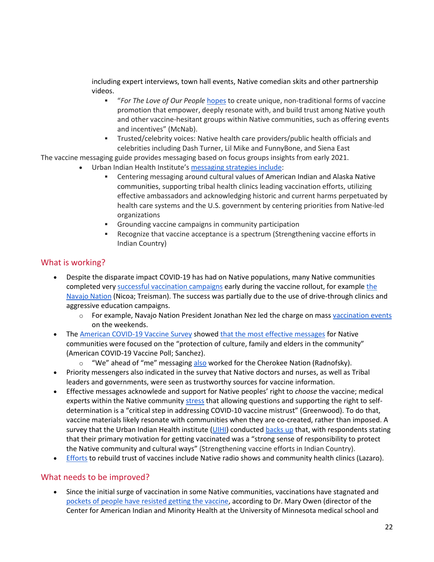including expert interviews, town hall events, Native comedian skits and other partnership videos.

- **■** "For The Love of Our People [hopes](https://www.teenvogue.com/story/how-this-indigenous-nonprofit-aims-to-reach-vaccine-hesitant-native-communities) to create unique, non-traditional forms of vaccine promotion that empower, deeply resonate with, and build trust among Native youth and other vaccine-hesitant groups within Native communities, such as offering events and incentives" (McNab).
- Trusted/celebrity voices: Native health care providers/public health officials and celebrities including Dash Turner, Lil Mike and FunnyBone, and Siena East

The vaccine messaging guide provides messaging based on focus groups insights from early 2021.

- Urban Indian Health Institute's [messaging strategies include:](https://www.uihi.org/projects/strengthening-vaccine-efforts-in-indian-country/)
	- **•** Centering messaging around cultural values of American Indian and Alaska Native communities, supporting tribal health clinics leading vaccination efforts, utilizing effective ambassadors and acknowledging historic and current harms perpetuated by health care systems and the U.S. government by centering priorities from Native-led organizations
	- Grounding vaccine campaigns in community participation
	- Recognize that vaccine acceptance is a spectrum (Strengthening vaccine efforts in Indian Country)

#### What is working?

- Despite the disparate impact COVID-19 has had on Native populations, many Native communities completed very [successful vaccination campaigns](https://www.nicoa.org/american-indians-have-highest-covid-vaccine-rate/) early during the vaccine rollout, for example [the](https://www.npr.org/sections/coronavirus-live-updates/2021/04/26/990884991/outpacing-the-u-s-hard-hit-navajo-nation-has-vaccinated-more-than-half-of-adults)  [Navajo Nation](https://www.npr.org/sections/coronavirus-live-updates/2021/04/26/990884991/outpacing-the-u-s-hard-hit-navajo-nation-has-vaccinated-more-than-half-of-adults) (Nicoa; Treisman). The success was partially due to the use of drive-through clinics and aggressive education campaigns.
	- o For example, Navajo Nation President Jonathan Nez led the charge on mas[s vaccination events](https://www.opvp.navajo-nsn.gov/Portals/0/Files/PRESS%20RELEASES/2021/Jan/FOR%20IMMEDIATE%20RELEASE%20-%2059%20new%20cases,%2014,275%20recoveries,%20and%2011%20more%20deaths%20related%20to%20COVID-19%20as%20health%20care%20facilities%20prepare%20to%20offer%20vaccinations%20on%20weekends.pdf) on the weekends.
- Th[e American COVID-19 Vaccine Survey](https://covidvaccinepoll.com/app/aarc/covid-19-vaccine-messaging/#/) showed [that the most effective messages](https://www.healthaffairs.org/do/10.1377/hblog20210723.390196/full/) for Native communities were focused on the "protection of culture, family and elders in the community" (American COVID-19 Vaccine Poll; Sanchez).
	- $\circ$  "We" ahead of "me" messaging [also](https://www.nbcnews.com/news/us-news/native-americans-use-culture-community-gain-tribes-trust-covid-vaccine-n1256647) worked for the Cherokee Nation (Radnofsky).
- Priority messengers also indicated in the survey that Native doctors and nurses, as well as Tribal leaders and governments, were seen as trustworthy sources for vaccine information.
- Effective messages acknowlede and support for Native peoples' right to *choose* the vaccine; medical experts within the Native community [stress](https://rsc-src.ca/en/voices/vaccine-mistrust-legacy-colonialism) that allowing questions and supporting the right to selfdetermination is a "critical step in addressing COVID-10 vaccine mistrust" (Greenwood). To do that, vaccine materials likely resonate with communities when they are co-created, rather than imposed. A survey that the Urban Indian Health institute [\(UIHI\)](https://www.uihi.org/) conducted [backs up](https://www.uihi.org/projects/strengthening-vaccine-efforts-in-indian-country/) that, with respondents stating that their primary motivation for getting vaccinated was a "strong sense of responsibility to protect the Native community and cultural ways" (Strengthening vaccine efforts in Indian Country).
- [Efforts](https://www.pbs.org/newshour/show/health-officials-try-to-rebuild-trust-of-vaccines-among-indigenous-americans) to rebuild trust of vaccines include Native radio shows and community health clinics (Lazaro).

#### What needs to be improved?

• Since the initial surge of vaccination in some Native communities, vaccinations have stagnated and [pockets of people have resisted getting the vaccine,](https://www.nytimes.com/live/2021/11/02/world/kids-vaccine-covid-children) according to Dr. Mary Owen (director of the Center for American Indian and Minority Health at the University of Minnesota medical school and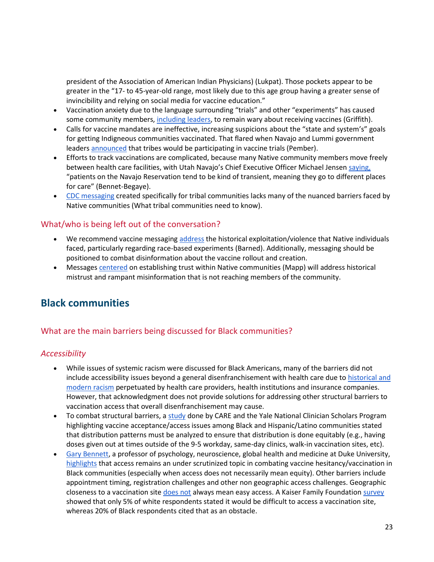president of the Association of American Indian Physicians) (Lukpat). Those pockets appear to be greater in the "17- to 45-year-old range, most likely due to this age group having a greater sense of invincibility and relying on social media for vaccine education."

- Vaccination anxiety due to the language surrounding "trials" and other "experiments" has caused some community members, [including leaders,](https://www.thedickinsonpress.com/newsmd/coronavirus/6814290-Some-Native-Americans-in-North-Dakota-skeptical-of-COVID-19-vaccine) to remain wary about receiving vaccines (Griffith).
- Calls for vaccine mandates are ineffective, increasing suspicions about the "state and system's" goals for getting Indigneous communities vaccinated. That flared when Navajo and Lummi government leader[s announced](https://indiancountrytoday.com/news/vaccine-trial-triggers-outrage-from-lummi-navajo-tribes) that tribes would be participating in vaccine trials (Pember).
- Efforts to track vaccinations are complicated, because many Native community members move freely between health care facilities, with Utah Navajo's Chief Executive Officer Michael Jensen [saying,](https://navajotimes.com/reznews/a-broken-system-why-number-of-native-american-alaska-native-pandemic-deaths-may-never-be-known/) "patients on the Navajo Reservation tend to be kind of transient, meaning they go to different places for care" (Bennet-Begaye).
- [CDC messaging](https://www.cdc.gov/coronavirus/2019-ncov/community/tribal/about-covid19-vaccines.html) created specifically for tribal communities lacks many of the nuanced barriers faced by Native communities (What tribal communities need to know).

#### What/who is being left out of the conversation?

- We recommend vaccine messaging [address](https://healthydebate.ca/2020/12/topic/vaccine-messaging-race-experiments/) the historical exploitation/violence that Native individuals faced, particularly regarding race-based experiments (Barned). Additionally, messaging should be positioned to combat disinformation about the vaccine rollout and creation.
- Messages [centered](https://www.sandiegouniontribune.com/news/health/story/2021-11-20/why-are-san-diegos-black-and-native-american-communities-less-vaccinated-its-about-trust) on establishing trust within Native communities (Mapp) will address historical mistrust and rampant misinformation that is not reaching members of the community.

## **Black communities**

#### What are the main barriers being discussed for Black communities?

#### *Accessibility*

- While issues of systemic racism were discussed for Black Americans, many of the barriers did not include accessibility issues beyond a general disenfranchisement with health care due to [historical and](https://time.com/5925074/black-americans-covid-19-vaccine-distrust/)  [modern racism](https://time.com/5925074/black-americans-covid-19-vaccine-distrust/) perpetuated by health care providers, health institutions and insurance companies. However, that acknowledgment does not provide solutions for addressing other structural barriers to vaccination access that overall disenfranchisement may cause.
- To combat structural barriers, a [study](https://jamanetwork.com/journals/jamanetworkopen/fullarticle/2784917) done by CARE and the Yale National Clinician Scholars Program highlighting vaccine acceptance/access issues among Black and Hispanic/Latino communities stated that distribution patterns must be analyzed to ensure that distribution is done equitably (e.g., having doses given out at times outside of the 9-5 workday, same-day clinics, walk-in vaccination sites, etc).
- [Gary Bennett,](https://globalhealth.duke.edu/people/bennett-gary) a professor of psychology, neuroscience, global health and medicine at Duke University, [highlights](https://researchblog.duke.edu/2021/04/08/black-americans-vaccine-hesitancy-is-grounded-by-more-than-mistrust/) that access remains an under scrutinized topic in combating vaccine hesitancy/vaccination in Black communities (especially when access does not necessarily mean equity). Other barriers include appointment timing, registration challenges and other non geographic access challenges. Geographic closeness to a vaccination site [does not](https://abcnews.go.com/Health/vaccination-rates-lag-communities-color-due-hesitancy-experts/story?id=77272753) always mean easy access. A Kaiser Family Foundatio[n survey](https://www.kff.org/coronavirus-covid-19/poll-finding/kff-covid-19-vaccine-monitor-what-weve-learned-april-2021/) showed that only 5% of white respondents stated it would be difficult to access a vaccination site, whereas 20% of Black respondents cited that as an obstacle.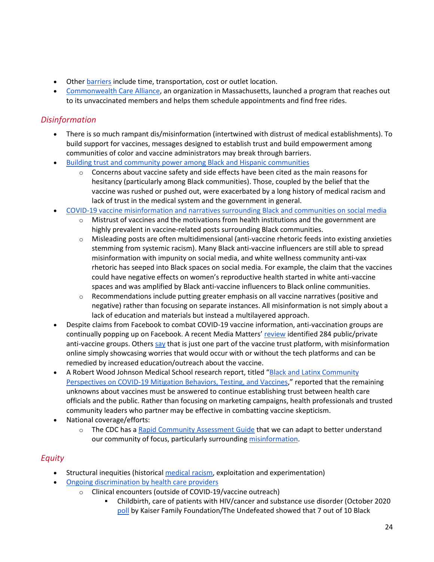- Other **barriers** include time, transportation, cost or outlet location.
- [Commonwealth Care Alliance,](https://www.commonwealthcarealliance.org/) an organization in Massachusetts, launched a program that reaches out to its unvaccinated members and helps them schedule appointments and find free rides.

#### *Disinformation*

- There is so much rampant dis/misinformation (intertwined with distrust of medical establishments). To build support for vaccines, messages designed to establish trust and build empowerment among communities of color and vaccine administrators may break through barriers.
- [Building trust and community power among Black and Hispanic communities](https://firstdraftnews.org/long-form-article/covid-19-vaccines-black-hispanic-communities/)
	- Concerns about vaccine safety and side effects have been cited as the main reasons for hesitancy (particularly among Black communities). Those, coupled by the belief that the vaccine was rushed or pushed out, were exacerbated by a long history of medical racism and lack of trust in the medical system and the government in general.
- [COVID-19 vaccine misinformation and narratives surrounding Black and communities on social media](https://firstdraftnews.org/long-form-article/covid-19-vaccine-misinformation-black-communities/)
	- $\circ$  Mistrust of vaccines and the motivations from health institutions and the government are highly prevalent in vaccine-related posts surrounding Black communities.
	- o Misleading posts are often multidimensional (anti-vaccine rhetoric feeds into existing anxieties stemming from systemic racism). Many Black anti-vaccine influencers are still able to spread misinformation with impunity on social media, and white wellness community anti-vax rhetoric has seeped into Black spaces on social media. For example, the claim that the vaccines could have negative effects on women's reproductive health started in white anti-vaccine spaces and was amplified by Black anti-vaccine influencers to Black online communities.
	- $\circ$  Recommendations include putting greater emphasis on all vaccine narratives (positive and negative) rather than focusing on separate instances. All misinformation is not simply about a lack of education and materials but instead a multilayered approach.
- Despite claims from Facebook to combat COVID-19 vaccine information, anti-vaccination groups are continually popping up on Facebook. A recent Media Matters' [review](https://www.mediamatters.org/facebook/despite-facebooks-covid-19-promises-anti-vaccine-groups-are-thriving) identified 284 public/private anti-vaccine groups. Others [say](https://www.axios.com/vaccine-hesitancy-misinformation-cba20e80-6871-4ddb-9405-feaa21be77d3.html) that is just one part of the vaccine trust platform, with misinformation online simply showcasing worries that would occur with or without the tech platforms and can be remedied by increased education/outreach about the vaccine.
- A Robert Wood Johnson Medical School research report, titled "Black and Latinx Community [Perspectives on COVID-19 Mitigation Behaviors, Testing, and Vaccines](https://jamanetwork.com/journals/jamanetworkopen/fullarticle/2781957)," reported that the remaining unknowns about vaccines must be answered to continue establishing trust between health care officials and the public. Rather than focusing on marketing campaigns, health professionals and trusted community leaders who partner may be effective in combatting vaccine skepticism.
- National coverage/efforts:
	- o The CDC has a [Rapid Community Assessment Guide](https://www.cdc.gov/vaccines/covid-19/vaccinate-with-confidence/rca-guide/) that we can adapt to better understand our community of focus, particularly surroundin[g misinformation.](https://www.cdc.gov/vaccines/covid-19/health-departments/addressing-vaccine-misinformation.html)

#### *Equity*

- Structural inequities (historical [medical racism,](https://www.health.harvard.edu/blog/racism-discrimination-health-care-providers-patients-2017011611015) exploitation and experimentation)
- [Ongoing discrimination by health care providers](https://www.commonwealthfund.org/publications/newsletter-article/2021/jan/medical-mistrust-among-black-americans)
	- o Clinical encounters (outside of COVID-19/vaccine outreach)
		- Childbirth, care of patients with HIV/cancer and substance use disorder (October 2020 [poll](https://www.kff.org/racial-equity-and-health-policy/report/kff-the-undefeated-survey-on-race-and-health/) by Kaiser Family Foundation/The Undefeated showed that 7 out of 10 Black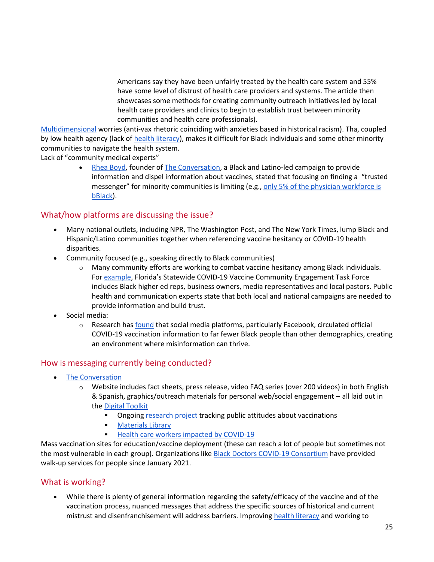Americans say they have been unfairly treated by the health care system and 55% have some level of distrust of health care providers and systems. The article then showcases some methods for creating community outreach initiatives led by local health care providers and clinics to begin to establish trust between minority communities and health care professionals).

[Multidimensional](https://firstdraftnews.org/long-form-article/covid-19-vaccine-misinformation-black-communities/) worries (anti-vax rhetoric coinciding with anxieties based in historical racism). Tha, coupled by low health agency (lack of [health literacy\)](https://www.webershandwick.com/wp-content/uploads/2018/11/Healthcare-Info-Search-Report.pdf), makes it difficult for Black individuals and some other minority communities to navigate the health system.

Lack of "community medical experts"

• [Rhea Boyd,](https://rheaboyd.com/about/) founder of [The Conversation,](https://www.greaterthancovid.org/theconversation/) a Black and Latino-led campaign to provide information and dispel information about vaccines, stated that focusing on finding a "trusted messenger" for minority communities is limiting (e.g., only 5% of the physician workforce is [bBlack\)](https://jamanetwork.com/journals/jamanetworkopen/fullarticle/2777977).

#### What/how platforms are discussing the issue?

- Many national outlets, including NPR, The Washington Post, and The New York Times, lump Black and Hispanic/Latino communities together when referencing vaccine hesitancy or COVID-19 health disparities.
- Community focused (e.g., speaking directly to Black communities)
	- $\circ$  Many community efforts are working to combat vaccine hesitancy among Black individuals. For [example](https://www.cidrap.umn.edu/news-perspective/2021/02/experts-seek-allay-covid-vaccine-hesitancy-black-americans), Florida's Statewide COVID-19 Vaccine Community Engagement Task Force includes Black higher ed reps, business owners, media representatives and local pastors. Public health and communication experts state that both local and national campaigns are needed to provide information and build trust.
- Social media:
	- $\circ$  Research ha[s found](https://firstdraftnews.org/long-form-article/covid-19-vaccine-misinformation-black-communities/) that social media platforms, particularly Facebook, circulated official COVID-19 vaccination information to far fewer Black people than other demographics, creating an environment where misinformation can thrive.

#### How is messaging currently being conducted?

- [The Conversation](https://www.greaterthancovid.org/theconversation/)
	- o Website includes fact sheets, press release, video FAQ series (over 200 videos) in both English & Spanish, graphics/outreach materials for personal web/social engagement – all laid out in the [Digital Toolkit](https://www.greaterthancovid.org/theconversation/digital-toolkit/)
		- **EXECT** Ongoin[g research project](https://www.kff.org/coronavirus-covid-19/dashboard/kff-covid-19-vaccine-monitor-dashboard/?gclid=Cj0KCQiAvvKBBhCXARIsACTePW94LZCnbxkxAMOqjseJclLPCg0VThPig0TjsUz3rkyftAuTSKASKbAaAsROEALw_wcB) tracking public attitudes about vaccinations
		- **■** [Materials Library](https://www.greaterthancovid.org/materials)
		- [Health care workers impacted by COVID-19](https://www.greaterthancovid.org/theconversation/healthcareworkers-bios/)

Mass vaccination sites for education/vaccine deployment (these can reach a lot of people but sometimes not the most vulnerable in each group). Organizations like [Black Doctors COVID-19 Consortium](https://blackdoctorsconsortium.com/) have provided walk-up services for people since January 2021.

#### What is working?

• While there is plenty of general information regarding the safety/efficacy of the vaccine and of the vaccination process, nuanced messages that address the specific sources of historical and current mistrust and disenfranchisement will address barriers. Improvin[g health literacy](https://www.ncbi.nlm.nih.gov/pmc/articles/PMC7989386/) and working to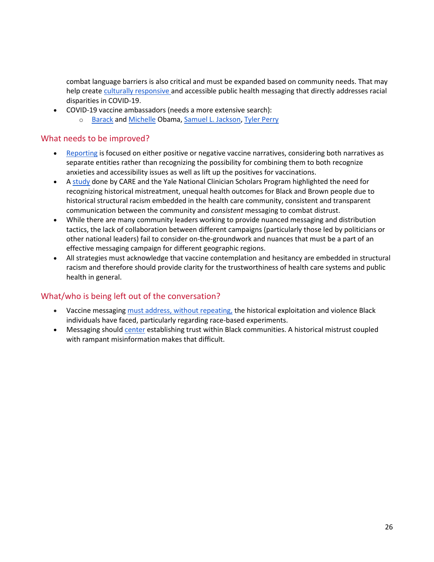combat language barriers is also critical and must be expanded based on community needs. That may help creat[e culturally responsive a](https://pubmed.ncbi.nlm.nih.gov/32926172/)nd accessible public health messaging that directly addresses racial disparities in COVID-19.

- COVID-19 vaccine ambassadors (needs a more extensive search):
	- o [Barack](https://twitter.com/BarackObama/status/1370011662275723267) an[d Michelle](https://m.facebook.com/michelleobama/photos/10165064251485578/) Obama, [Samuel L. Jackson,](https://www.nme.com/news/film/samuel-l-jackson-wears-an-avengers-themed-mask-as-he-gets-covid-19-vaccine-2864353) [Tyler Perry](https://www.nytimes.com/2021/01/28/arts/tyler-perry-covid-vaccine-skeptics.html)

#### What needs to be improved?

- [Reporting](https://firstdraftnews.org/long-form-article/covid-19-vaccine-misinformation-black-communities/) is focused on either positive or negative vaccine narratives, considering both narratives as separate entities rather than recognizing the possibility for combining them to both recognize anxieties and accessibility issues as well as lift up the positives for vaccinations.
- [A study](https://jamanetwork.com/journals/jamanetworkopen/fullarticle/2784917) done by CARE and the Yale National Clinician Scholars Program highlighted the need for recognizing historical mistreatment, unequal health outcomes for Black and Brown people due to historical structural racism embedded in the health care community, consistent and transparent communication between the community and *consistent* messaging to combat distrust.
- While there are many community leaders working to provide nuanced messaging and distribution tactics, the lack of collaboration between different campaigns (particularly those led by politicians or other national leaders) fail to consider on-the-groundwork and nuances that must be a part of an effective messaging campaign for different geographic regions.
- All strategies must acknowledge that vaccine contemplation and hesitancy are embedded in structural racism and therefore should provide clarity for the trustworthiness of health care systems and public health in general.

#### What/who is being left out of the conversation?

- Vaccine messaging [must address,](https://healthydebate.ca/2020/12/topic/vaccine-messaging-race-experiments/) without repeating, the historical exploitation and violence Black individuals have faced, particularly regarding race-based experiments.
- Messaging should [center](https://www.sandiegouniontribune.com/news/health/story/2021-11-20/why-are-san-diegos-black-and-native-american-communities-less-vaccinated-its-about-trust) establishing trust within Black communities. A historical mistrust coupled with rampant misinformation makes that difficult.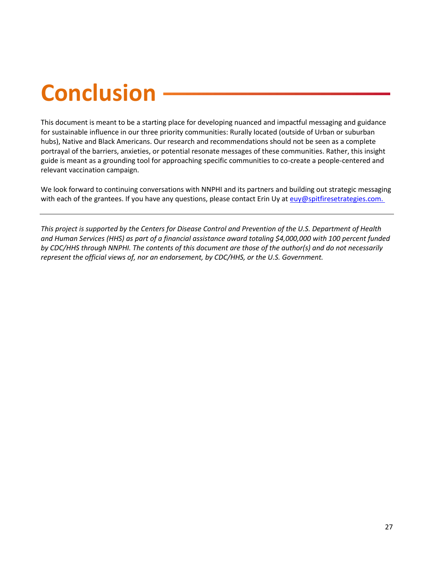# **Conclusion**

<span id="page-26-0"></span>This document is meant to be a starting place for developing nuanced and impactful messaging and guidance for sustainable influence in our three priority communities: Rurally located (outside of Urban or suburban hubs), Native and Black Americans. Our research and recommendations should not be seen as a complete portrayal of the barriers, anxieties, or potential resonate messages of these communities. Rather, this insight guide is meant as a grounding tool for approaching specific communities to co-create a people-centered and relevant vaccination campaign.

We look forward to continuing conversations with NNPHI and its partners and building out strategic messaging with each of the grantees. If you have any questions, please contact Erin Uy at [euy@spitfiresetrategies.com.](mailto:euy@spitfiresetrategies.com. )

*This project is supported by the Centers for Disease Control and Prevention of the U.S. Department of Health and Human Services (HHS) as part of a financial assistance award totaling \$4,000,000 with 100 percent funded by CDC/HHS through NNPHI. The contents of this document are those of the author(s) and do not necessarily represent the official views of, nor an endorsement, by CDC/HHS, or the U.S. Government.*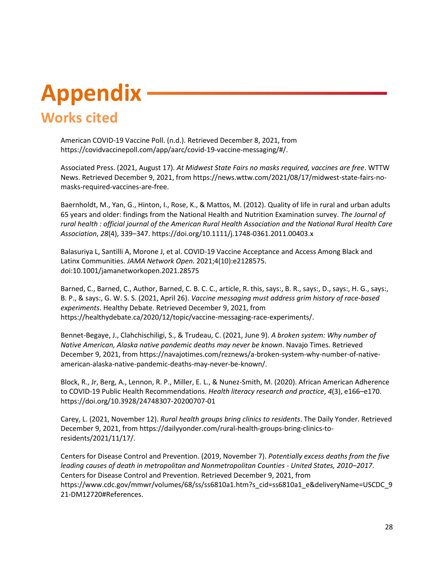## **Appendix Works cited**

<span id="page-27-0"></span>American COVID-19 Vaccine Poll. (n.d.). Retrieved December 8, 2021, from https://covidvaccinepoll.com/app/aarc/covid-19-vaccine-messaging/#/.

Associated Press. (2021, August 17). *At Midwest State Fairs no masks required, vaccines are free*. WTTW News. Retrieved December 9, 2021, from https://news.wttw.com/2021/08/17/midwest-state-fairs-nomasks-required-vaccines-are-free.

Baernholdt, M., Yan, G., Hinton, I., Rose, K., & Mattos, M. (2012). Quality of life in rural and urban adults 65 years and older: findings from the National Health and Nutrition Examination survey. *The Journal of rural health : official journal of the American Rural Health Association and the National Rural Health Care Association*, *28*(4), 339–347. https://doi.org/10.1111/j.1748-0361.2011.00403.x

Balasuriya L, Santilli A, Morone J, et al. COVID-19 Vaccine Acceptance and Access Among Black and Latinx Communities. *JAMA Network Open.* 2021;4(10):e2128575. doi:10.1001/jamanetworkopen.2021.28575

Barned, C., Barned, C., Author, Barned, C. B. C. C., article, R. this, says:, B. R., says:, D., says:, H. G., says:, B. P., & says:, G. W. S. S. (2021, April 26). *Vaccine messaging must address grim history of race-based experiments*. Healthy Debate. Retrieved December 9, 2021, from https://healthydebate.ca/2020/12/topic/vaccine-messaging-race-experiments/.

Bennet-Begaye, J., Clahchischiligi, S., & Trudeau, C. (2021, June 9). *A broken system: Why number of Native American, Alaska native pandemic deaths may never be known*. Navajo Times. Retrieved December 9, 2021, from https://navajotimes.com/reznews/a-broken-system-why-number-of-nativeamerican-alaska-native-pandemic-deaths-may-never-be-known/.

Block, R., Jr, Berg, A., Lennon, R. P., Miller, E. L., & Nunez-Smith, M. (2020). African American Adherence to COVID-19 Public Health Recommendations. *Health literacy research and practice*, *4*(3), e166–e170. https://doi.org/10.3928/24748307-20200707-01

Carey, L. (2021, November 12). *Rural health groups bring clinics to residents*. The Daily Yonder. Retrieved December 9, 2021, from https://dailyyonder.com/rural-health-groups-bring-clinics-toresidents/2021/11/17/.

Centers for Disease Control and Prevention. (2019, November 7). *Potentially excess deaths from the five leading causes of death in metropolitan and Nonmetropolitan Counties - United States, 2010–2017*. Centers for Disease Control and Prevention. Retrieved December 9, 2021, from https://www.cdc.gov/mmwr/volumes/68/ss/ss6810a1.htm?s\_cid=ss6810a1\_e&deliveryName=USCDC\_9 21-DM12720#References.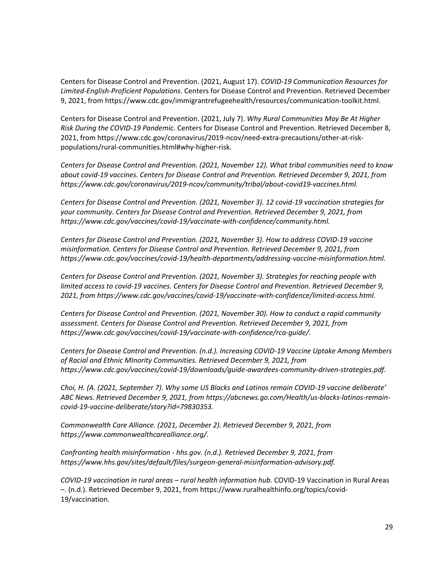Centers for Disease Control and Prevention. (2021, August 17). *COVID-19 Communication Resources for Limited-English-Proficient Populations*. Centers for Disease Control and Prevention. Retrieved December 9, 2021, from https://www.cdc.gov/immigrantrefugeehealth/resources/communication-toolkit.html.

Centers for Disease Control and Prevention. (2021, July 7). *Why Rural Communities May Be At Higher Risk During the COVID-19 Pandemic*. Centers for Disease Control and Prevention. Retrieved December 8, 2021, from https://www.cdc.gov/coronavirus/2019-ncov/need-extra-precautions/other-at-riskpopulations/rural-communities.html#why-higher-risk.

*Centers for Disease Control and Prevention. (2021, November 12). What tribal communities need to know about covid-19 vaccines. Centers for Disease Control and Prevention. Retrieved December 9, 2021, from https://www.cdc.gov/coronavirus/2019-ncov/community/tribal/about-covid19-vaccines.html.*

*Centers for Disease Control and Prevention. (2021, November 3). 12 covid-19 vaccination strategies for your community. Centers for Disease Control and Prevention. Retrieved December 9, 2021, from https://www.cdc.gov/vaccines/covid-19/vaccinate-with-confidence/community.html.*

*Centers for Disease Control and Prevention. (2021, November 3). How to address COVID-19 vaccine misinformation. Centers for Disease Control and Prevention. Retrieved December 9, 2021, from https://www.cdc.gov/vaccines/covid-19/health-departments/addressing-vaccine-misinformation.html.*

*Centers for Disease Control and Prevention. (2021, November 3). Strategies for reaching people with limited access to covid-19 vaccines. Centers for Disease Control and Prevention. Retrieved December 9, 2021, from https://www.cdc.gov/vaccines/covid-19/vaccinate-with-confidence/limited-access.html.*

*Centers for Disease Control and Prevention. (2021, November 30). How to conduct a rapid community assessment. Centers for Disease Control and Prevention. Retrieved December 9, 2021, from https://www.cdc.gov/vaccines/covid-19/vaccinate-with-confidence/rca-guide/.*

*Centers for Disease Control and Prevention. (n.d.). Increasing COVID-19 Vaccine Uptake Among Members of Racial and Ethnic MInority Communities. Retrieved December 9, 2021, from https://www.cdc.gov/vaccines/covid-19/downloads/guide-awardees-community-driven-strategies.pdf.*

*Choi, H. (A. (2021, September 7). Why some US Blacks and Latinos remain COVID-19 vaccine deliberate' ABC News. Retrieved December 9, 2021, from https://abcnews.go.com/Health/us-blacks-latinos-remaincovid-19-vaccine-deliberate/story?id=79830353.*

*Commonwealth Care Alliance. (2021, December 2). Retrieved December 9, 2021, from https://www.commonwealthcarealliance.org/.*

*Confronting health misinformation - hhs.gov. (n.d.). Retrieved December 9, 2021, from https://www.hhs.gov/sites/default/files/surgeon-general-misinformation-advisory.pdf.*

*COVID-19 vaccination in rural areas – rural health information hub*. COVID-19 Vaccination in Rural Areas –. (n.d.). Retrieved December 9, 2021, from https://www.ruralhealthinfo.org/topics/covid-19/vaccination.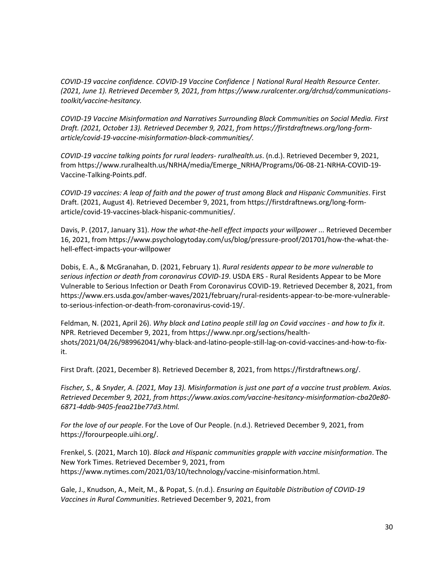*COVID-19 vaccine confidence. COVID-19 Vaccine Confidence | National Rural Health Resource Center. (2021, June 1). Retrieved December 9, 2021, from https://www.ruralcenter.org/drchsd/communicationstoolkit/vaccine-hesitancy.*

*COVID-19 Vaccine Misinformation and Narratives Surrounding Black Communities on Social Media. First Draft. (2021, October 13). Retrieved December 9, 2021, from https://firstdraftnews.org/long-formarticle/covid-19-vaccine-misinformation-black-communities/.* 

*COVID-19 vaccine talking points for rural leaders- ruralhealth.us*. (n.d.). Retrieved December 9, 2021, from https://www.ruralhealth.us/NRHA/media/Emerge\_NRHA/Programs/06-08-21-NRHA-COVID-19- Vaccine-Talking-Points.pdf.

*COVID-19 vaccines: A leap of faith and the power of trust among Black and Hispanic Communities*. First Draft. (2021, August 4). Retrieved December 9, 2021, from https://firstdraftnews.org/long-formarticle/covid-19-vaccines-black-hispanic-communities/.

Davis, P. (2017, January 31). *How the what-the-hell effect impacts your willpower ...* Retrieved December 16, 2021, from https://www.psychologytoday.com/us/blog/pressure-proof/201701/how-the-what-thehell-effect-impacts-your-willpower

Dobis, E. A., & McGranahan, D. (2021, February 1). *Rural residents appear to be more vulnerable to serious infection or death from coronavirus COVID-19*. USDA ERS - Rural Residents Appear to be More Vulnerable to Serious Infection or Death From Coronavirus COVID-19. Retrieved December 8, 2021, from https://www.ers.usda.gov/amber-waves/2021/february/rural-residents-appear-to-be-more-vulnerableto-serious-infection-or-death-from-coronavirus-covid-19/.

Feldman, N. (2021, April 26). *Why black and Latino people still lag on Covid vaccines - and how to fix it*. NPR. Retrieved December 9, 2021, from https://www.npr.org/sections/healthshots/2021/04/26/989962041/why-black-and-latino-people-still-lag-on-covid-vaccines-and-how-to-fixit.

First Draft. (2021, December 8). Retrieved December 8, 2021, from https://firstdraftnews.org/.

*Fischer, S., & Snyder, A. (2021, May 13). Misinformation is just one part of a vaccine trust problem. Axios. Retrieved December 9, 2021, from https://www.axios.com/vaccine-hesitancy-misinformation-cba20e80- 6871-4ddb-9405-feaa21be77d3.html.*

*For the love of our people*. For the Love of Our People. (n.d.). Retrieved December 9, 2021, from https://forourpeople.uihi.org/.

Frenkel, S. (2021, March 10). *Black and Hispanic communities grapple with vaccine misinformation*. The New York Times. Retrieved December 9, 2021, from https://www.nytimes.com/2021/03/10/technology/vaccine-misinformation.html.

Gale, J., Knudson, A., Meit, M., & Popat, S. (n.d.). *Ensuring an Equitable Distribution of COVID-19 Vaccines in Rural Communities*. Retrieved December 9, 2021, from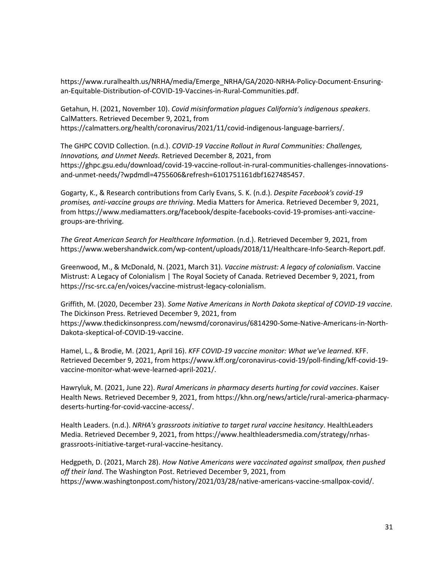https://www.ruralhealth.us/NRHA/media/Emerge\_NRHA/GA/2020-NRHA-Policy-Document-Ensuringan-Equitable-Distribution-of-COVID-19-Vaccines-in-Rural-Communities.pdf.

Getahun, H. (2021, November 10). *Covid misinformation plagues California's indigenous speakers*. CalMatters. Retrieved December 9, 2021, from https://calmatters.org/health/coronavirus/2021/11/covid-indigenous-language-barriers/.

The GHPC COVID Collection. (n.d.). *COVID-19 Vaccine Rollout in Rural Communities: Challenges, Innovations, and Unmet Needs*. Retrieved December 8, 2021, from https://ghpc.gsu.edu/download/covid-19-vaccine-rollout-in-rural-communities-challenges-innovationsand-unmet-needs/?wpdmdl=4755606&refresh=6101751161dbf1627485457.

Gogarty, K., & Research contributions from Carly Evans, S. K. (n.d.). *Despite Facebook's covid-19 promises, anti-vaccine groups are thriving*. Media Matters for America. Retrieved December 9, 2021, from https://www.mediamatters.org/facebook/despite-facebooks-covid-19-promises-anti-vaccinegroups-are-thriving.

*The Great American Search for Healthcare Information*. (n.d.). Retrieved December 9, 2021, from https://www.webershandwick.com/wp-content/uploads/2018/11/Healthcare-Info-Search-Report.pdf.

Greenwood, M., & McDonald, N. (2021, March 31). *Vaccine mistrust: A legacy of colonialism*. Vaccine Mistrust: A Legacy of Colonialism | The Royal Society of Canada. Retrieved December 9, 2021, from https://rsc-src.ca/en/voices/vaccine-mistrust-legacy-colonialism.

Griffith, M. (2020, December 23). *Some Native Americans in North Dakota skeptical of COVID-19 vaccine*. The Dickinson Press. Retrieved December 9, 2021, from https://www.thedickinsonpress.com/newsmd/coronavirus/6814290-Some-Native-Americans-in-North-Dakota-skeptical-of-COVID-19-vaccine.

Hamel, L., & Brodie, M. (2021, April 16). *KFF COVID-19 vaccine monitor: What we've learned*. KFF. Retrieved December 9, 2021, from https://www.kff.org/coronavirus-covid-19/poll-finding/kff-covid-19 vaccine-monitor-what-weve-learned-april-2021/.

Hawryluk, M. (2021, June 22). *Rural Americans in pharmacy deserts hurting for covid vaccines*. Kaiser Health News. Retrieved December 9, 2021, from https://khn.org/news/article/rural-america-pharmacydeserts-hurting-for-covid-vaccine-access/.

Health Leaders. (n.d.). *NRHA's grassroots initiative to target rural vaccine hesitancy*. HealthLeaders Media. Retrieved December 9, 2021, from https://www.healthleadersmedia.com/strategy/nrhasgrassroots-initiative-target-rural-vaccine-hesitancy.

Hedgpeth, D. (2021, March 28). *How Native Americans were vaccinated against smallpox, then pushed off their land*. The Washington Post. Retrieved December 9, 2021, from https://www.washingtonpost.com/history/2021/03/28/native-americans-vaccine-smallpox-covid/.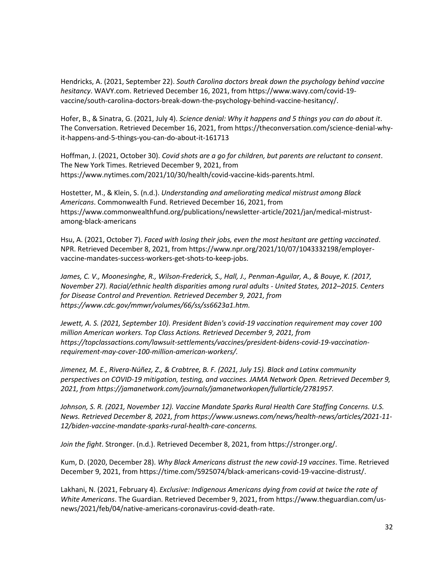Hendricks, A. (2021, September 22). *South Carolina doctors break down the psychology behind vaccine hesitancy*. WAVY.com. Retrieved December 16, 2021, from https://www.wavy.com/covid-19 vaccine/south-carolina-doctors-break-down-the-psychology-behind-vaccine-hesitancy/.

Hofer, B., & Sinatra, G. (2021, July 4). *Science denial: Why it happens and 5 things you can do about it*. The Conversation. Retrieved December 16, 2021, from https://theconversation.com/science-denial-whyit-happens-and-5-things-you-can-do-about-it-161713

Hoffman, J. (2021, October 30). *Covid shots are a go for children, but parents are reluctant to consent*. The New York Times. Retrieved December 9, 2021, from https://www.nytimes.com/2021/10/30/health/covid-vaccine-kids-parents.html.

Hostetter, M., & Klein, S. (n.d.). *Understanding and ameliorating medical mistrust among Black Americans*. Commonwealth Fund. Retrieved December 16, 2021, from https://www.commonwealthfund.org/publications/newsletter-article/2021/jan/medical-mistrustamong-black-americans

Hsu, A. (2021, October 7). *Faced with losing their jobs, even the most hesitant are getting vaccinated*. NPR. Retrieved December 8, 2021, from https://www.npr.org/2021/10/07/1043332198/employervaccine-mandates-success-workers-get-shots-to-keep-jobs.

*James, C. V., Moonesinghe, R., Wilson-Frederick, S., Hall, J., Penman-Aguilar, A., & Bouye, K. (2017, November 27). Racial/ethnic health disparities among rural adults - United States, 2012–2015. Centers for Disease Control and Prevention. Retrieved December 9, 2021, from https://www.cdc.gov/mmwr/volumes/66/ss/ss6623a1.htm.*

*Jewett, A. S. (2021, September 10). President Biden's covid-19 vaccination requirement may cover 100 million American workers. Top Class Actions. Retrieved December 9, 2021, from https://topclassactions.com/lawsuit-settlements/vaccines/president-bidens-covid-19-vaccinationrequirement-may-cover-100-million-american-workers/.*

*Jimenez, M. E., Rivera-Núñez, Z., & Crabtree, B. F. (2021, July 15). Black and Latinx community perspectives on COVID-19 mitigation, testing, and vaccines. JAMA Network Open. Retrieved December 9, 2021, from https://jamanetwork.com/journals/jamanetworkopen/fullarticle/2781957.*

*Johnson, S. R. (2021, November 12). Vaccine Mandate Sparks Rural Health Care Staffing Concerns. U.S. News. Retrieved December 8, 2021, from https://www.usnews.com/news/health-news/articles/2021-11- 12/biden-vaccine-mandate-sparks-rural-health-care-concerns.*

*Join the fight*. Stronger. (n.d.). Retrieved December 8, 2021, from https://stronger.org/.

Kum, D. (2020, December 28). *Why Black Americans distrust the new covid-19 vaccines*. Time. Retrieved December 9, 2021, from https://time.com/5925074/black-americans-covid-19-vaccine-distrust/.

Lakhani, N. (2021, February 4). *Exclusive: Indigenous Americans dying from covid at twice the rate of White Americans*. The Guardian. Retrieved December 9, 2021, from https://www.theguardian.com/usnews/2021/feb/04/native-americans-coronavirus-covid-death-rate.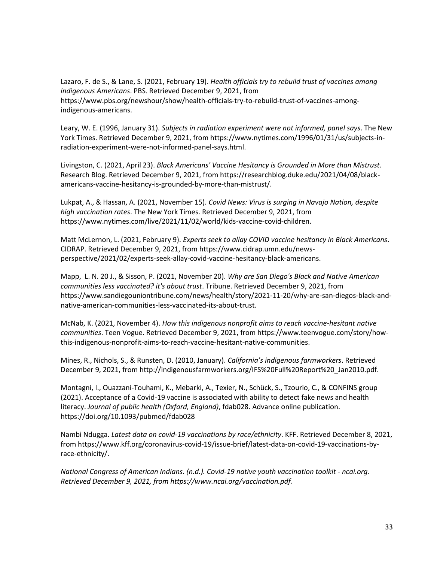Lazaro, F. de S., & Lane, S. (2021, February 19). *Health officials try to rebuild trust of vaccines among indigenous Americans*. PBS. Retrieved December 9, 2021, from https://www.pbs.org/newshour/show/health-officials-try-to-rebuild-trust-of-vaccines-amongindigenous-americans.

Leary, W. E. (1996, January 31). *Subjects in radiation experiment were not informed, panel says*. The New York Times. Retrieved December 9, 2021, from https://www.nytimes.com/1996/01/31/us/subjects-inradiation-experiment-were-not-informed-panel-says.html.

Livingston, C. (2021, April 23). *Black Americans' Vaccine Hesitancy is Grounded in More than Mistrust*. Research Blog. Retrieved December 9, 2021, from https://researchblog.duke.edu/2021/04/08/blackamericans-vaccine-hesitancy-is-grounded-by-more-than-mistrust/.

Lukpat, A., & Hassan, A. (2021, November 15). *Covid News: Virus is surging in Navajo Nation, despite high vaccination rates*. The New York Times. Retrieved December 9, 2021, from https://www.nytimes.com/live/2021/11/02/world/kids-vaccine-covid-children.

Matt McLernon, L. (2021, February 9). *Experts seek to allay COVID vaccine hesitancy in Black Americans*. CIDRAP. Retrieved December 9, 2021, from https://www.cidrap.umn.edu/newsperspective/2021/02/experts-seek-allay-covid-vaccine-hesitancy-black-americans.

Mapp, L. N. 20 J., & Sisson, P. (2021, November 20). *Why are San Diego's Black and Native American communities less vaccinated? it's about trust*. Tribune. Retrieved December 9, 2021, from https://www.sandiegouniontribune.com/news/health/story/2021-11-20/why-are-san-diegos-black-andnative-american-communities-less-vaccinated-its-about-trust.

McNab, K. (2021, November 4). *How this indigenous nonprofit aims to reach vaccine-hesitant native communities*. Teen Vogue. Retrieved December 9, 2021, from https://www.teenvogue.com/story/howthis-indigenous-nonprofit-aims-to-reach-vaccine-hesitant-native-communities.

Mines, R., Nichols, S., & Runsten, D. (2010, January). *California's indigenous farmworkers*. Retrieved December 9, 2021, from http://indigenousfarmworkers.org/IFS%20Full%20Report%20\_Jan2010.pdf.

Montagni, I., Ouazzani-Touhami, K., Mebarki, A., Texier, N., Schück, S., Tzourio, C., & CONFINS group (2021). Acceptance of a Covid-19 vaccine is associated with ability to detect fake news and health literacy. *Journal of public health (Oxford, England)*, fdab028. Advance online publication. https://doi.org/10.1093/pubmed/fdab028

Nambi Ndugga. *Latest data on covid-19 vaccinations by race/ethnicity*. KFF. Retrieved December 8, 2021, from https://www.kff.org/coronavirus-covid-19/issue-brief/latest-data-on-covid-19-vaccinations-byrace-ethnicity/.

*National Congress of American Indians. (n.d.). Covid-19 native youth vaccination toolkit - ncai.org. Retrieved December 9, 2021, from https://www.ncai.org/vaccination.pdf.*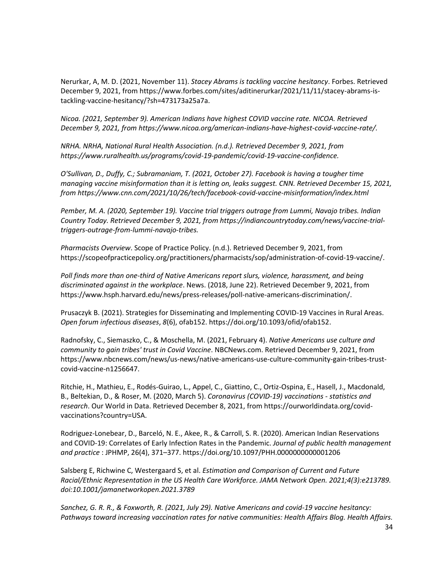Nerurkar, A, M. D. (2021, November 11). *Stacey Abrams is tackling vaccine hesitancy*. Forbes. Retrieved December 9, 2021, from https://www.forbes.com/sites/aditinerurkar/2021/11/11/stacey-abrams-istackling-vaccine-hesitancy/?sh=473173a25a7a.

*Nicoa. (2021, September 9). American Indians have highest COVID vaccine rate. NICOA. Retrieved December 9, 2021, from https://www.nicoa.org/american-indians-have-highest-covid-vaccine-rate/.*

*NRHA. NRHA, National Rural Health Association. (n.d.). Retrieved December 9, 2021, from https://www.ruralhealth.us/programs/covid-19-pandemic/covid-19-vaccine-confidence.*

*O'Sullivan, D., Duffy, C.; Subramaniam, T. (2021, October 27). Facebook is having a tougher time managing vaccine misinformation than it is letting on, leaks suggest. CNN. Retrieved December 15, 2021, from https://www.cnn.com/2021/10/26/tech/facebook-covid-vaccine-misinformation/index.html*

*Pember, M. A. (2020, September 19). Vaccine trial triggers outrage from Lummi, Navajo tribes. Indian Country Today. Retrieved December 9, 2021, from https://indiancountrytoday.com/news/vaccine-trialtriggers-outrage-from-lummi-navajo-tribes.*

*Pharmacists Overview*. Scope of Practice Policy. (n.d.). Retrieved December 9, 2021, from https://scopeofpracticepolicy.org/practitioners/pharmacists/sop/administration-of-covid-19-vaccine/.

*Poll finds more than one-third of Native Americans report slurs, violence, harassment, and being discriminated against in the workplace*. News. (2018, June 22). Retrieved December 9, 2021, from https://www.hsph.harvard.edu/news/press-releases/poll-native-americans-discrimination/.

Prusaczyk B. (2021). Strategies for Disseminating and Implementing COVID-19 Vaccines in Rural Areas. *Open forum infectious diseases*, *8*(6), ofab152. https://doi.org/10.1093/ofid/ofab152.

Radnofsky, C., Siemaszko, C., & Moschella, M. (2021, February 4). *Native Americans use culture and community to gain tribes' trust in Covid Vaccine*. NBCNews.com. Retrieved December 9, 2021, from https://www.nbcnews.com/news/us-news/native-americans-use-culture-community-gain-tribes-trustcovid-vaccine-n1256647.

Ritchie, H., Mathieu, E., Rodés-Guirao, L., Appel, C., Giattino, C., Ortiz-Ospina, E., Hasell, J., Macdonald, B., Beltekian, D., & Roser, M. (2020, March 5). *Coronavirus (COVID-19) vaccinations - statistics and research*. Our World in Data. Retrieved December 8, 2021, from https://ourworldindata.org/covidvaccinations?country=USA.

Rodriguez-Lonebear, D., Barceló, N. E., Akee, R., & Carroll, S. R. (2020). American Indian Reservations and COVID-19: Correlates of Early Infection Rates in the Pandemic. *Journal of public health management and practice* : JPHMP, 26(4), 371–377. https://doi.org/10.1097/PHH.0000000000001206

Salsberg E, Richwine C, Westergaard S, et al. *Estimation and Comparison of Current and Future Racial/Ethnic Representation in the US Health Care Workforce. JAMA Network Open. 2021;4(3):e213789. doi:10.1001/jamanetworkopen.2021.3789*

*Sanchez, G. R. R., & Foxworth, R. (2021, July 29). Native Americans and covid-19 vaccine hesitancy: Pathways toward increasing vaccination rates for native communities: Health Affairs Blog. Health Affairs.*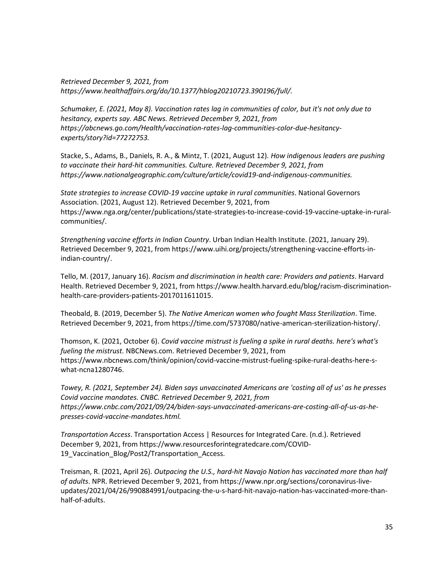*Retrieved December 9, 2021, from https://www.healthaffairs.org/do/10.1377/hblog20210723.390196/full/.*

*Schumaker, E. (2021, May 8). Vaccination rates lag in communities of color, but it's not only due to hesitancy, experts say. ABC News. Retrieved December 9, 2021, from https://abcnews.go.com/Health/vaccination-rates-lag-communities-color-due-hesitancyexperts/story?id=77272753.*

Stacke, S., Adams, B., Daniels, R. A., & Mintz, T. (2021, August 12)*. How indigenous leaders are pushing to vaccinate their hard-hit communities. Culture. Retrieved December 9, 2021, from https://www.nationalgeographic.com/culture/article/covid19-and-indigenous-communities.*

*State strategies to increase COVID-19 vaccine uptake in rural communities*. National Governors Association. (2021, August 12). Retrieved December 9, 2021, from https://www.nga.org/center/publications/state-strategies-to-increase-covid-19-vaccine-uptake-in-ruralcommunities/.

*Strengthening vaccine efforts in Indian Country*. Urban Indian Health Institute. (2021, January 29). Retrieved December 9, 2021, from https://www.uihi.org/projects/strengthening-vaccine-efforts-inindian-country/.

Tello, M. (2017, January 16). *Racism and discrimination in health care: Providers and patients*. Harvard Health. Retrieved December 9, 2021, from https://www.health.harvard.edu/blog/racism-discriminationhealth-care-providers-patients-2017011611015.

Theobald, B. (2019, December 5). *The Native American women who fought Mass Sterilization*. Time. Retrieved December 9, 2021, from https://time.com/5737080/native-american-sterilization-history/.

Thomson, K. (2021, October 6). *Covid vaccine mistrust is fueling a spike in rural deaths. here's what's fueling the mistrust.* NBCNews.com. Retrieved December 9, 2021, from https://www.nbcnews.com/think/opinion/covid-vaccine-mistrust-fueling-spike-rural-deaths-here-swhat-ncna1280746.

*Towey, R. (2021, September 24). Biden says unvaccinated Americans are 'costing all of us' as he presses Covid vaccine mandates. CNBC. Retrieved December 9, 2021, from https://www.cnbc.com/2021/09/24/biden-says-unvaccinated-americans-are-costing-all-of-us-as-hepresses-covid-vaccine-mandates.html.*

*Transportation Access*. Transportation Access | Resources for Integrated Care. (n.d.). Retrieved December 9, 2021, from https://www.resourcesforintegratedcare.com/COVID-19\_Vaccination\_Blog/Post2/Transportation\_Access.

Treisman, R. (2021, April 26). *Outpacing the U.S., hard-hit Navajo Nation has vaccinated more than half of adults*. NPR. Retrieved December 9, 2021, from https://www.npr.org/sections/coronavirus-liveupdates/2021/04/26/990884991/outpacing-the-u-s-hard-hit-navajo-nation-has-vaccinated-more-thanhalf-of-adults.